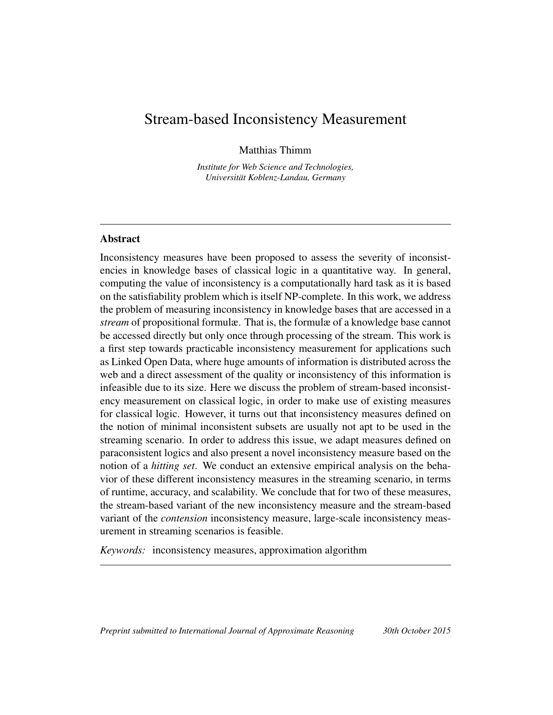## Stream-based Inconsistency Measurement

Matthias Thimm

*Institute for Web Science and Technologies, Universitat Koblenz-Landau, Germany ¨*

## Abstract

Inconsistency measures have been proposed to assess the severity of inconsistencies in knowledge bases of classical logic in a quantitative way. In general, computing the value of inconsistency is a computationally hard task as it is based on the satisfiability problem which is itself NP-complete. In this work, we address the problem of measuring inconsistency in knowledge bases that are accessed in a *stream* of propositional formulæ. That is, the formulæ of a knowledge base cannot be accessed directly but only once through processing of the stream. This work is a first step towards practicable inconsistency measurement for applications such as Linked Open Data, where huge amounts of information is distributed across the web and a direct assessment of the quality or inconsistency of this information is infeasible due to its size. Here we discuss the problem of stream-based inconsistency measurement on classical logic, in order to make use of existing measures for classical logic. However, it turns out that inconsistency measures defined on the notion of minimal inconsistent subsets are usually not apt to be used in the streaming scenario. In order to address this issue, we adapt measures defined on paraconsistent logics and also present a novel inconsistency measure based on the notion of a *hitting set*. We conduct an extensive empirical analysis on the behavior of these different inconsistency measures in the streaming scenario, in terms of runtime, accuracy, and scalability. We conclude that for two of these measures, the stream-based variant of the new inconsistency measure and the stream-based variant of the *contension* inconsistency measure, large-scale inconsistency measurement in streaming scenarios is feasible.

*Keywords:* inconsistency measures, approximation algorithm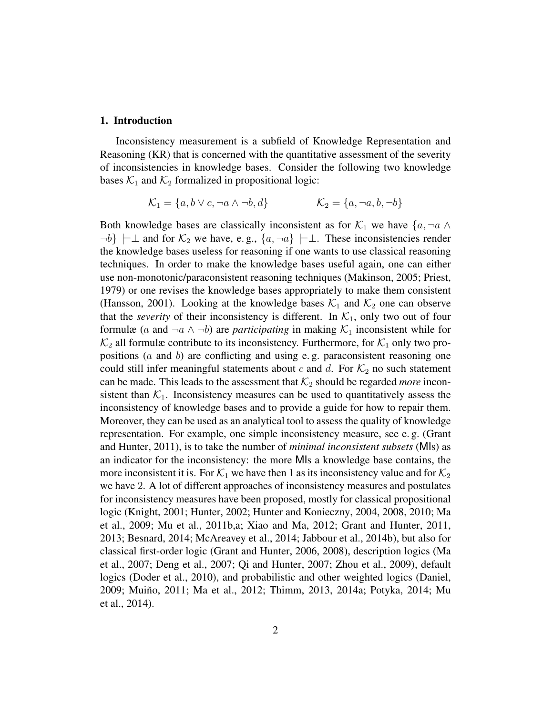#### 1. Introduction

Inconsistency measurement is a subfield of Knowledge Representation and Reasoning (KR) that is concerned with the quantitative assessment of the severity of inconsistencies in knowledge bases. Consider the following two knowledge bases  $\mathcal{K}_1$  and  $\mathcal{K}_2$  formalized in propositional logic:

$$
\mathcal{K}_1 = \{a, b \lor c, \neg a \land \neg b, d\} \qquad \mathcal{K}_2 = \{a, \neg a, b, \neg b\}
$$

Both knowledge bases are classically inconsistent as for  $\mathcal{K}_1$  we have  $\{a, \neg a \wedge a\}$  $\neg b$   $\models \bot$  and for  $\mathcal{K}_2$  we have, e.g.,  $\{a, \neg a\} \models \bot$ . These inconsistencies render the knowledge bases useless for reasoning if one wants to use classical reasoning techniques. In order to make the knowledge bases useful again, one can either use non-monotonic/paraconsistent reasoning techniques (Makinson, 2005; Priest, 1979) or one revises the knowledge bases appropriately to make them consistent (Hansson, 2001). Looking at the knowledge bases  $\mathcal{K}_1$  and  $\mathcal{K}_2$  one can observe that the *severity* of their inconsistency is different. In  $K_1$ , only two out of four formulæ (a and  $\neg a \land \neg b$ ) are *participating* in making  $K_1$  inconsistent while for  $\mathcal{K}_2$  all formulæ contribute to its inconsistency. Furthermore, for  $\mathcal{K}_1$  only two propositions (a and b) are conflicting and using e. g. paraconsistent reasoning one could still infer meaningful statements about c and d. For  $\mathcal{K}_2$  no such statement can be made. This leads to the assessment that  $K_2$  should be regarded *more* inconsistent than  $K_1$ . Inconsistency measures can be used to quantitatively assess the inconsistency of knowledge bases and to provide a guide for how to repair them. Moreover, they can be used as an analytical tool to assess the quality of knowledge representation. For example, one simple inconsistency measure, see e. g. (Grant and Hunter, 2011), is to take the number of *minimal inconsistent subsets* (MIs) as an indicator for the inconsistency: the more MIs a knowledge base contains, the more inconsistent it is. For  $\mathcal{K}_1$  we have then 1 as its inconsistency value and for  $\mathcal{K}_2$ we have 2. A lot of different approaches of inconsistency measures and postulates for inconsistency measures have been proposed, mostly for classical propositional logic (Knight, 2001; Hunter, 2002; Hunter and Konieczny, 2004, 2008, 2010; Ma et al., 2009; Mu et al., 2011b,a; Xiao and Ma, 2012; Grant and Hunter, 2011, 2013; Besnard, 2014; McAreavey et al., 2014; Jabbour et al., 2014b), but also for classical first-order logic (Grant and Hunter, 2006, 2008), description logics (Ma et al., 2007; Deng et al., 2007; Qi and Hunter, 2007; Zhou et al., 2009), default logics (Doder et al., 2010), and probabilistic and other weighted logics (Daniel, 2009; Muiño, 2011; Ma et al., 2012; Thimm, 2013, 2014a; Potyka, 2014; Mu et al., 2014).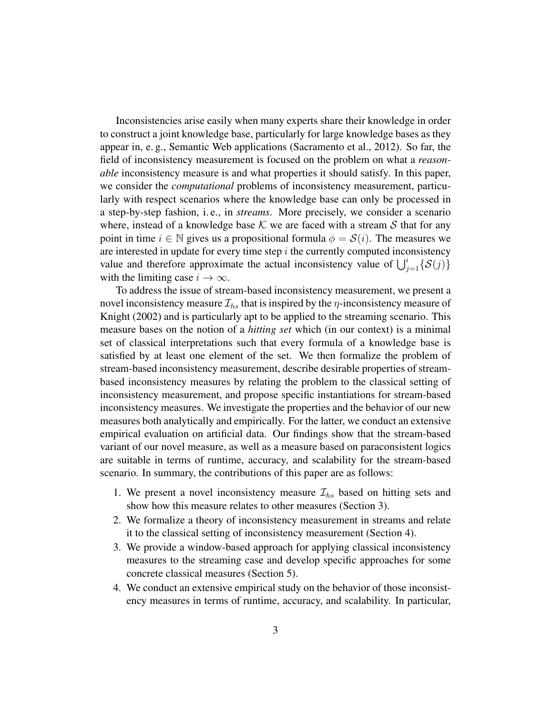Inconsistencies arise easily when many experts share their knowledge in order to construct a joint knowledge base, particularly for large knowledge bases as they appear in, e. g., Semantic Web applications (Sacramento et al., 2012). So far, the field of inconsistency measurement is focused on the problem on what a *reasonable* inconsistency measure is and what properties it should satisfy. In this paper, we consider the *computational* problems of inconsistency measurement, particularly with respect scenarios where the knowledge base can only be processed in a step-by-step fashion, i. e., in *streams*. More precisely, we consider a scenario where, instead of a knowledge base K we are faced with a stream S that for any point in time  $i \in \mathbb{N}$  gives us a propositional formula  $\phi = \mathcal{S}(i)$ . The measures we are interested in update for every time step  $i$  the currently computed inconsistency value and therefore approximate the actual inconsistency value of  $\bigcup_{j=1}^{i} {\mathcal{S}(j)}$ with the limiting case  $i \rightarrow \infty$ .

To address the issue of stream-based inconsistency measurement, we present a novel inconsistency measure  $\mathcal{I}_{hs}$  that is inspired by the  $\eta$ -inconsistency measure of Knight (2002) and is particularly apt to be applied to the streaming scenario. This measure bases on the notion of a *hitting set* which (in our context) is a minimal set of classical interpretations such that every formula of a knowledge base is satisfied by at least one element of the set. We then formalize the problem of stream-based inconsistency measurement, describe desirable properties of streambased inconsistency measures by relating the problem to the classical setting of inconsistency measurement, and propose specific instantiations for stream-based inconsistency measures. We investigate the properties and the behavior of our new measures both analytically and empirically. For the latter, we conduct an extensive empirical evaluation on artificial data. Our findings show that the stream-based variant of our novel measure, as well as a measure based on paraconsistent logics are suitable in terms of runtime, accuracy, and scalability for the stream-based scenario. In summary, the contributions of this paper are as follows:

- 1. We present a novel inconsistency measure  $\mathcal{I}_{hs}$  based on hitting sets and show how this measure relates to other measures (Section 3).
- 2. We formalize a theory of inconsistency measurement in streams and relate it to the classical setting of inconsistency measurement (Section 4).
- 3. We provide a window-based approach for applying classical inconsistency measures to the streaming case and develop specific approaches for some concrete classical measures (Section 5).
- 4. We conduct an extensive empirical study on the behavior of those inconsistency measures in terms of runtime, accuracy, and scalability. In particular,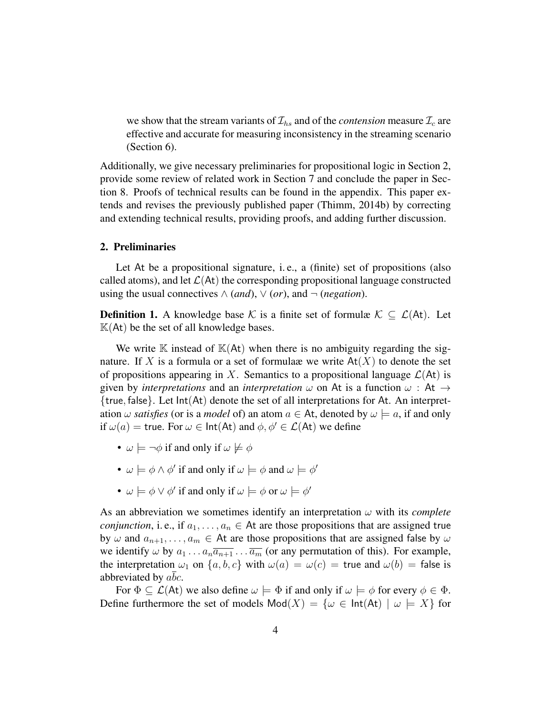we show that the stream variants of  $\mathcal{I}_{hs}$  and of the *contension* measure  $\mathcal{I}_c$  are effective and accurate for measuring inconsistency in the streaming scenario (Section 6).

Additionally, we give necessary preliminaries for propositional logic in Section 2, provide some review of related work in Section 7 and conclude the paper in Section 8. Proofs of technical results can be found in the appendix. This paper extends and revises the previously published paper (Thimm, 2014b) by correcting and extending technical results, providing proofs, and adding further discussion.

#### 2. Preliminaries

Let At be a propositional signature, i. e., a (finite) set of propositions (also called atoms), and let  $\mathcal{L}(At)$  the corresponding propositional language constructed using the usual connectives  $\wedge$  (*and*),  $\vee$  (*or*), and  $\neg$  (*negation*).

**Definition 1.** A knowledge base K is a finite set of formulæ  $K \subseteq \mathcal{L}(At)$ . Let  $K(At)$  be the set of all knowledge bases.

We write  $\mathbb K$  instead of  $\mathbb K(At)$  when there is no ambiguity regarding the signature. If X is a formula or a set of formulax we write  $At(X)$  to denote the set of propositions appearing in X. Semantics to a propositional language  $\mathcal{L}(At)$  is given by *interpretations* and an *interpretation*  $\omega$  on At is a function  $\omega$ : At  $\rightarrow$ {true, false}. Let Int(At) denote the set of all interpretations for At. An interpretation  $\omega$  *satisfies* (or is a *model* of) an atom  $a \in At$ , denoted by  $\omega \models a$ , if and only if  $\omega(a)$  = true. For  $\omega \in \text{Int}(At)$  and  $\phi, \phi' \in \mathcal{L}(At)$  we define

- $\omega \models \neg \phi$  if and only if  $\omega \not\models \phi$
- $\omega \models \phi \land \phi'$  if and only if  $\omega \models \phi$  and  $\omega \models \phi'$
- $\omega \models \phi \lor \phi'$  if and only if  $\omega \models \phi$  or  $\omega \models \phi'$

As an abbreviation we sometimes identify an interpretation  $\omega$  with its *complete conjunction*, i.e., if  $a_1, \ldots, a_n \in A$ t are those propositions that are assigned true by  $\omega$  and  $a_{n+1}, \ldots, a_m \in A$ t are those propositions that are assigned false by  $\omega$ we identify  $\omega$  by  $a_1 \dots a_n \overline{a_{n+1}} \dots \overline{a_m}$  (or any permutation of this). For example, the interpretation  $\omega_1$  on  $\{a, b, c\}$  with  $\omega(a) = \omega(c)$  = true and  $\omega(b)$  = false is abbreviated by abc.

For  $\Phi \subseteq \mathcal{L}(A_t)$  we also define  $\omega \models \Phi$  if and only if  $\omega \models \phi$  for every  $\phi \in \Phi$ . Define furthermore the set of models  $Mod(X) = \{ \omega \in Int(At) \mid \omega \models X \}$  for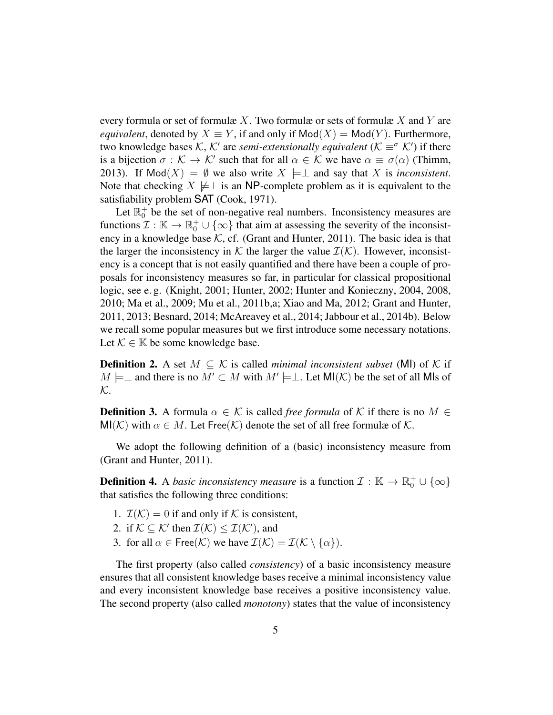every formula or set of formulæ X. Two formulæ or sets of formulæ X and Y are *equivalent*, denoted by  $X \equiv Y$ , if and only if  $Mod(X) = Mod(Y)$ . Furthermore, two knowledge bases  $K$ ,  $K'$  are *semi-extensionally equivalent* ( $K \equiv \infty$  K') if there is a bijection  $\sigma : \mathcal{K} \to \mathcal{K}'$  such that for all  $\alpha \in \mathcal{K}$  we have  $\alpha \equiv \sigma(\alpha)$  (Thimm, 2013). If  $Mod(X) = \emptyset$  we also write  $X \models \perp$  and say that X is *inconsistent*. Note that checking  $X \not\models \perp$  is an NP-complete problem as it is equivalent to the satisfiability problem SAT (Cook, 1971).

Let  $\mathbb{R}^+_0$  be the set of non-negative real numbers. Inconsistency measures are functions  $\mathcal{I}: \mathbb{K} \to \mathbb{R}_0^+ \cup \{\infty\}$  that aim at assessing the severity of the inconsistency in a knowledge base  $K$ , cf. (Grant and Hunter, 2011). The basic idea is that the larger the inconsistency in K the larger the value  $\mathcal{I}(\mathcal{K})$ . However, inconsistency is a concept that is not easily quantified and there have been a couple of proposals for inconsistency measures so far, in particular for classical propositional logic, see e. g. (Knight, 2001; Hunter, 2002; Hunter and Konieczny, 2004, 2008, 2010; Ma et al., 2009; Mu et al., 2011b,a; Xiao and Ma, 2012; Grant and Hunter, 2011, 2013; Besnard, 2014; McAreavey et al., 2014; Jabbour et al., 2014b). Below we recall some popular measures but we first introduce some necessary notations. Let  $\mathcal{K} \in \mathbb{K}$  be some knowledge base.

**Definition 2.** A set  $M \subseteq \mathcal{K}$  is called *minimal inconsistent subset* (MI) of  $\mathcal{K}$  if  $M \models \perp$  and there is no  $M' \subset M$  with  $M' \models \perp$ . Let  $\mathsf{MI}(\mathcal{K})$  be the set of all MIs of  $\mathcal{K}.$ 

**Definition 3.** A formula  $\alpha \in \mathcal{K}$  is called *free formula* of K if there is no  $M \in$  $MI(\mathcal{K})$  with  $\alpha \in M$ . Let Free $(\mathcal{K})$  denote the set of all free formulæ of  $\mathcal{K}$ .

We adopt the following definition of a (basic) inconsistency measure from (Grant and Hunter, 2011).

**Definition 4.** A *basic inconsistency measure* is a function  $\mathcal{I}: \mathbb{K} \to \mathbb{R}_0^+ \cup \{\infty\}$ that satisfies the following three conditions:

- 1.  $\mathcal{I}(\mathcal{K}) = 0$  if and only if K is consistent,
- 2. if  $K \subseteq K'$  then  $\mathcal{I}(\mathcal{K}) \leq \mathcal{I}(\mathcal{K}')$ , and
- 3. for all  $\alpha \in \text{Free}(\mathcal{K})$  we have  $\mathcal{I}(\mathcal{K}) = \mathcal{I}(\mathcal{K} \setminus \{\alpha\})$ .

The first property (also called *consistency*) of a basic inconsistency measure ensures that all consistent knowledge bases receive a minimal inconsistency value and every inconsistent knowledge base receives a positive inconsistency value. The second property (also called *monotony*) states that the value of inconsistency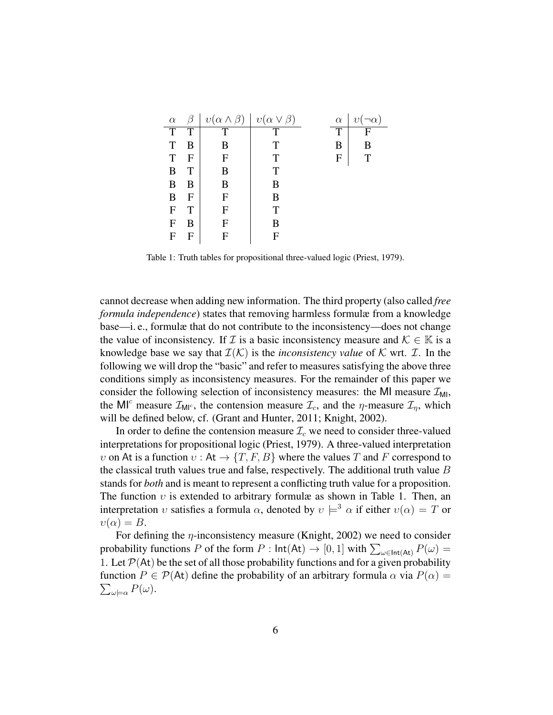| $\alpha$ |   | $v(\alpha \wedge \beta)$ | $v(\alpha \vee \beta)$ | $\alpha$ | $\eta$ |
|----------|---|--------------------------|------------------------|----------|--------|
| T        | T | т                        | T                      | T        | F      |
| T        | B | В                        | T                      | В        | в      |
| T        | F | F                        | Т                      | F        | т      |
| B        |   | В                        | Т                      |          |        |
| B        | B | B                        | В                      |          |        |
| B        | F | F                        | В                      |          |        |
| F        | Т | F                        | Т                      |          |        |
| F        | B | F                        | В                      |          |        |
| F        |   | F                        | F                      |          |        |

Table 1: Truth tables for propositional three-valued logic (Priest, 1979).

cannot decrease when adding new information. The third property (also called *free formula independence*) states that removing harmless formulæ from a knowledge base—i. e., formulæ that do not contribute to the inconsistency—does not change the value of inconsistency. If  $\mathcal I$  is a basic inconsistency measure and  $\mathcal K \in \mathbb K$  is a knowledge base we say that  $\mathcal{I}(\mathcal{K})$  is the *inconsistency value* of K wrt. *T*. In the following we will drop the "basic" and refer to measures satisfying the above three conditions simply as inconsistency measures. For the remainder of this paper we consider the following selection of inconsistency measures: the MI measure  $\mathcal{I}_{ML}$ , the MI<sup>c</sup> measure  $\mathcal{I}_{\text{MI}^c}$ , the contension measure  $\mathcal{I}_c$ , and the  $\eta$ -measure  $\mathcal{I}_\eta$ , which will be defined below, cf. (Grant and Hunter, 2011; Knight, 2002).

In order to define the contension measure  $\mathcal{I}_c$  we need to consider three-valued interpretations for propositional logic (Priest, 1979). A three-valued interpretation v on At is a function  $v : At \to \{T, F, B\}$  where the values T and F correspond to the classical truth values true and false, respectively. The additional truth value  $B$ stands for *both* and is meant to represent a conflicting truth value for a proposition. The function  $v$  is extended to arbitrary formulæ as shown in Table 1. Then, an interpretation v satisfies a formula  $\alpha$ , denoted by  $v \models^3 \alpha$  if either  $v(\alpha) = T$  or  $v(\alpha) = B$ .

For defining the  $\eta$ -inconsistency measure (Knight, 2002) we need to consider probability functions P of the form  $P : \text{Int}(At) \to [0, 1]$  with  $\sum_{\omega \in \text{Int}(At)} P(\omega) =$ 1. Let  $\mathcal{P}(At)$  be the set of all those probability functions and for a given probability  $\sum_{\omega\models\alpha} P(\omega).$ function  $P \in \mathcal{P}(A_t)$  define the probability of an arbitrary formula  $\alpha$  via  $P(\alpha) =$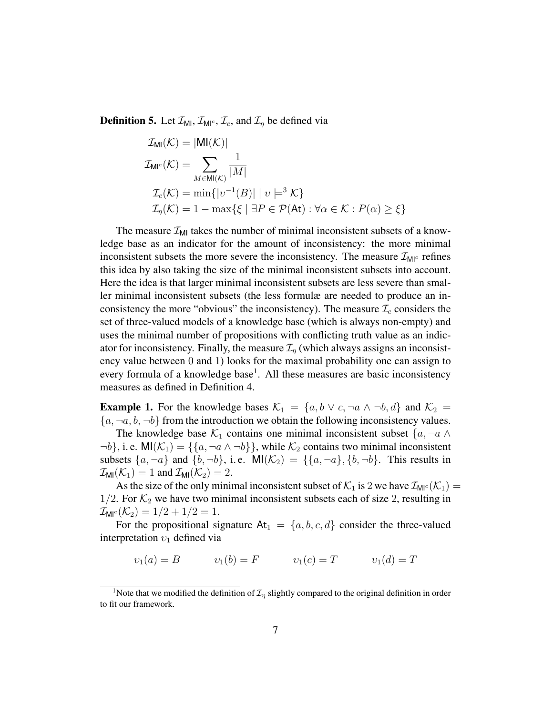**Definition 5.** Let  $\mathcal{I}_{\text{MI}}$ ,  $\mathcal{I}_{\text{MI}^c}$ ,  $\mathcal{I}_c$ , and  $\mathcal{I}_\eta$  be defined via

$$
\mathcal{I}_{\mathsf{MI}}(\mathcal{K}) = |\mathsf{MI}(\mathcal{K})|
$$
\n
$$
\mathcal{I}_{\mathsf{MI}^c}(\mathcal{K}) = \sum_{M \in \mathsf{MI}(\mathcal{K})} \frac{1}{|M|}
$$
\n
$$
\mathcal{I}_c(\mathcal{K}) = \min\{|v^{-1}(B)| \mid v \models^3 \mathcal{K}\}
$$
\n
$$
\mathcal{I}_\eta(\mathcal{K}) = 1 - \max\{\xi \mid \exists P \in \mathcal{P}(\mathsf{At}) : \forall \alpha \in \mathcal{K} : P(\alpha) \ge \xi\}
$$

The measure  $\mathcal{I}_{\text{MI}}$  takes the number of minimal inconsistent subsets of a knowledge base as an indicator for the amount of inconsistency: the more minimal inconsistent subsets the more severe the inconsistency. The measure  $\mathcal{I}_{\mathsf{M}^{\lvert c}}$  refines this idea by also taking the size of the minimal inconsistent subsets into account. Here the idea is that larger minimal inconsistent subsets are less severe than smaller minimal inconsistent subsets (the less formulæ are needed to produce an inconsistency the more "obvious" the inconsistency). The measure  $\mathcal{I}_c$  considers the set of three-valued models of a knowledge base (which is always non-empty) and uses the minimal number of propositions with conflicting truth value as an indicator for inconsistency. Finally, the measure  $\mathcal{I}_n$  (which always assigns an inconsistency value between 0 and 1) looks for the maximal probability one can assign to every formula of a knowledge base<sup>1</sup>. All these measures are basic inconsistency measures as defined in Definition 4.

**Example 1.** For the knowledge bases  $\mathcal{K}_1 = \{a, b \lor c, \neg a \land \neg b, d\}$  and  $\mathcal{K}_2 =$  ${a, \neg a, b, \neg b}$  from the introduction we obtain the following inconsistency values.

The knowledge base  $\mathcal{K}_1$  contains one minimal inconsistent subset  $\{a, \neg a \wedge a\}$  $\neg b$ , i. e. MI $(\mathcal{K}_1) = {\lbrace a, \neg a \land \neg b \rbrace}$ , while  $\mathcal{K}_2$  contains two minimal inconsistent subsets  $\{a, \neg a\}$  and  $\{b, \neg b\}$ , i.e.  $\mathsf{MI}(\mathcal{K}_2) = \{\{a, \neg a\}, \{b, \neg b\}$ . This results in  $\mathcal{I}_{\text{MI}}(\mathcal{K}_1) = 1$  and  $\mathcal{I}_{\text{MI}}(\mathcal{K}_2) = 2$ .

As the size of the only minimal inconsistent subset of  $\mathcal{K}_1$  is 2 we have  $\mathcal{I}_{\mathsf{M}^{\mathsf{C}}}(\mathcal{K}_1)$  = 1/2. For  $\mathcal{K}_2$  we have two minimal inconsistent subsets each of size 2, resulting in  $\mathcal{I}_{\text{MI}^c}(\mathcal{K}_2) = 1/2 + 1/2 = 1.$ 

For the propositional signature  $At_1 = \{a, b, c, d\}$  consider the three-valued interpretation  $v_1$  defined via

$$
v_1(a) = B
$$
  $v_1(b) = F$   $v_1(c) = T$   $v_1(d) = T$ 

<sup>&</sup>lt;sup>1</sup>Note that we modified the definition of  $\mathcal{I}_n$  slightly compared to the original definition in order to fit our framework.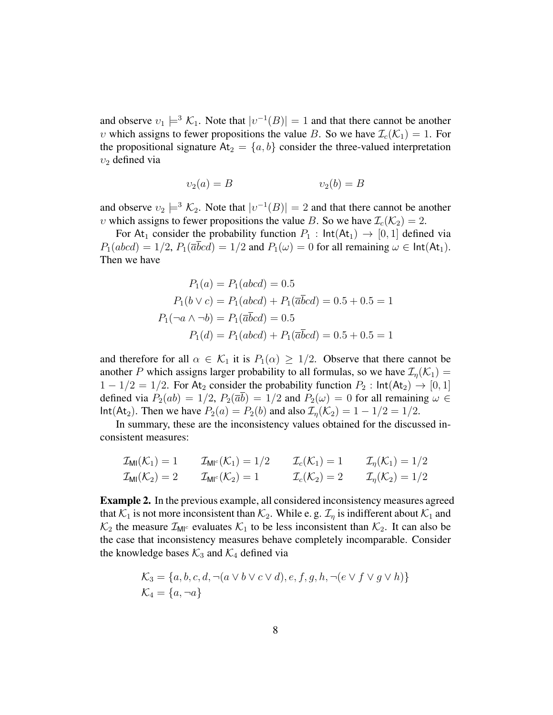and observe  $v_1 \models^3 \mathcal{K}_1$ . Note that  $|v^{-1}(B)| = 1$  and that there cannot be another v which assigns to fewer propositions the value B. So we have  $\mathcal{I}_c(\mathcal{K}_1) = 1$ . For the propositional signature  $At_2 = \{a, b\}$  consider the three-valued interpretation  $v_2$  defined via

$$
v_2(a) = B \qquad \qquad v_2(b) = B
$$

and observe  $v_2 \models^3 \mathcal{K}_2$ . Note that  $|v^{-1}(B)| = 2$  and that there cannot be another v which assigns to fewer propositions the value B. So we have  $\mathcal{I}_c(\mathcal{K}_2) = 2$ .

For At<sub>1</sub> consider the probability function  $P_1$  :  $Int(At_1) \rightarrow [0, 1]$  defined via  $P_1(abcd) = 1/2$ ,  $P_1(\overline{a}bcd) = 1/2$  and  $P_1(\omega) = 0$  for all remaining  $\omega \in \text{Int}(At_1)$ . Then we have

$$
P_1(a) = P_1(abcd) = 0.5
$$
  
\n
$$
P_1(b \lor c) = P_1(abcd) + P_1(\overline{a}\overline{b}cd) = 0.5 + 0.5 = 1
$$
  
\n
$$
P_1(\neg a \land \neg b) = P_1(\overline{a}\overline{b}cd) = 0.5
$$
  
\n
$$
P_1(d) = P_1(abcd) + P_1(\overline{a}\overline{b}cd) = 0.5 + 0.5 = 1
$$

and therefore for all  $\alpha \in \mathcal{K}_1$  it is  $P_1(\alpha) \geq 1/2$ . Observe that there cannot be another P which assigns larger probability to all formulas, so we have  $\mathcal{I}_n(\mathcal{K}_1) =$  $1 - 1/2 = 1/2$ . For At<sub>2</sub> consider the probability function  $P_2$ :  $Int(At_2) \rightarrow [0, 1]$ defined via  $P_2(ab) = 1/2$ ,  $P_2(\overline{ab}) = 1/2$  and  $P_2(\omega) = 0$  for all remaining  $\omega \in$ Int(At<sub>2</sub>). Then we have  $P_2(a) = P_2(b)$  and also  $\mathcal{I}_n(\mathcal{K}_2) = 1 - 1/2 = 1/2$ .

In summary, these are the inconsistency values obtained for the discussed inconsistent measures:

$$
\mathcal{I}_{\text{MI}}(\mathcal{K}_1) = 1 \qquad \mathcal{I}_{\text{MI}^c}(\mathcal{K}_1) = 1/2 \qquad \mathcal{I}_c(\mathcal{K}_1) = 1 \qquad \mathcal{I}_{\eta}(\mathcal{K}_1) = 1/2
$$
\n
$$
\mathcal{I}_{\text{MI}}(\mathcal{K}_2) = 2 \qquad \mathcal{I}_{\text{MI}^c}(\mathcal{K}_2) = 1 \qquad \mathcal{I}_c(\mathcal{K}_2) = 2 \qquad \mathcal{I}_{\eta}(\mathcal{K}_2) = 1/2
$$

Example 2. In the previous example, all considered inconsistency measures agreed that  $K_1$  is not more inconsistent than  $K_2$ . While e. g.  $\mathcal{I}_{\eta}$  is indifferent about  $\mathcal{K}_1$  and  $\mathcal{K}_2$  the measure  $\mathcal{I}_{\text{MI}^c}$  evaluates  $\mathcal{K}_1$  to be less inconsistent than  $\mathcal{K}_2$ . It can also be the case that inconsistency measures behave completely incomparable. Consider the knowledge bases  $K_3$  and  $K_4$  defined via

$$
\mathcal{K}_3 = \{a, b, c, d, \neg(a \lor b \lor c \lor d), e, f, g, h, \neg(e \lor f \lor g \lor h)\}\
$$
  

$$
\mathcal{K}_4 = \{a, \neg a\}
$$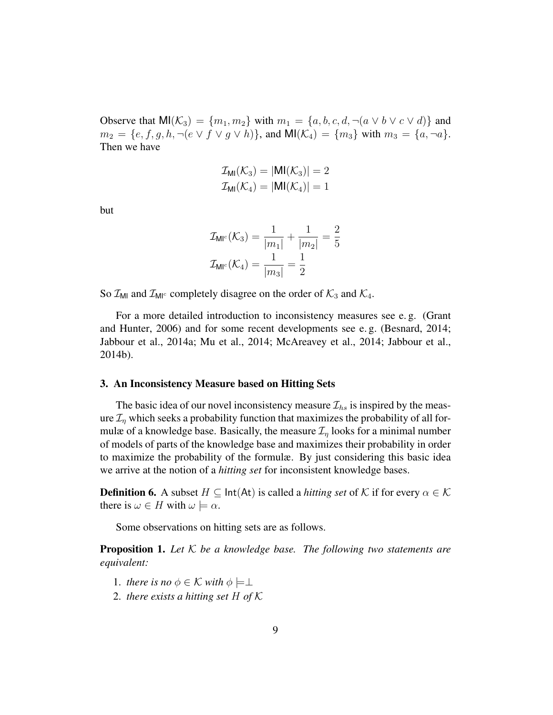Observe that  $M(\mathcal{K}_3) = \{m_1, m_2\}$  with  $m_1 = \{a, b, c, d, \neg(a \lor b \lor c \lor d)\}\$  and  $m_2 = \{e, f, g, h, \neg(e \lor f \lor g \lor h)\}\$ , and  $\text{MI}(\mathcal{K}_4) = \{m_3\}$  with  $m_3 = \{a, \neg a\}\$ . Then we have

$$
\mathcal{I}_{\text{MI}}(\mathcal{K}_3) = |\text{MI}(\mathcal{K}_3)| = 2
$$
  

$$
\mathcal{I}_{\text{MI}}(\mathcal{K}_4) = |\text{MI}(\mathcal{K}_4)| = 1
$$

but

$$
\mathcal{I}_{\mathsf{MI}^c}(\mathcal{K}_3) = \frac{1}{|m_1|} + \frac{1}{|m_2|} = \frac{2}{5}
$$

$$
\mathcal{I}_{\mathsf{MI}^c}(\mathcal{K}_4) = \frac{1}{|m_3|} = \frac{1}{2}
$$

So  $\mathcal{I}_{\text{MI}}$  and  $\mathcal{I}_{\text{MI}^c}$  completely disagree on the order of  $\mathcal{K}_3$  and  $\mathcal{K}_4$ .

For a more detailed introduction to inconsistency measures see e. g. (Grant and Hunter, 2006) and for some recent developments see e. g. (Besnard, 2014; Jabbour et al., 2014a; Mu et al., 2014; McAreavey et al., 2014; Jabbour et al., 2014b).

#### 3. An Inconsistency Measure based on Hitting Sets

The basic idea of our novel inconsistency measure  $\mathcal{I}_{hs}$  is inspired by the measure  $\mathcal{I}_{\eta}$  which seeks a probability function that maximizes the probability of all formulæ of a knowledge base. Basically, the measure  $\mathcal{I}_n$  looks for a minimal number of models of parts of the knowledge base and maximizes their probability in order to maximize the probability of the formulæ. By just considering this basic idea we arrive at the notion of a *hitting set* for inconsistent knowledge bases.

**Definition 6.** A subset  $H \subseteq \text{Int}(At)$  is called a *hitting set* of K if for every  $\alpha \in \mathcal{K}$ there is  $\omega \in H$  with  $\omega \models \alpha$ .

Some observations on hitting sets are as follows.

Proposition 1. *Let* K *be a knowledge base. The following two statements are equivalent:*

- 1. *there is no*  $\phi \in \mathcal{K}$  *with*  $\phi \models \perp$
- 2. *there exists a hitting set* H *of* K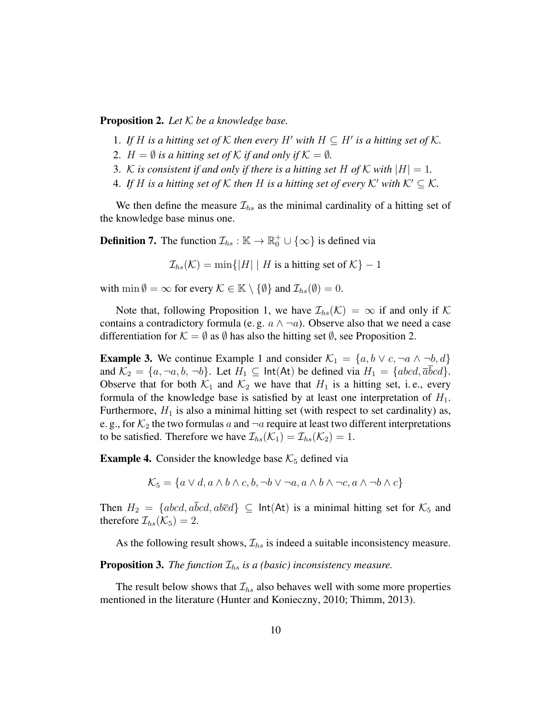#### Proposition 2. *Let* K *be a knowledge base.*

- 1. If H is a hitting set of K then every H' with  $H \subseteq H'$  is a hitting set of K.
- 2.  $H = \emptyset$  *is a hitting set of*  $K$  *if and only if*  $K = \emptyset$ *.*
- 3. K is consistent if and only if there is a hitting set H of K with  $|H| = 1$ .
- 4. If H is a hitting set of K then H is a hitting set of every K' with  $K' \subseteq K$ .

We then define the measure  $\mathcal{I}_{hs}$  as the minimal cardinality of a hitting set of the knowledge base minus one.

**Definition 7.** The function  $\mathcal{I}_{hs}$  :  $\mathbb{K} \to \mathbb{R}_0^+ \cup \{\infty\}$  is defined via

 $\mathcal{I}_{hs}(\mathcal{K}) = \min\{|H| \mid H$  is a hitting set of  $\mathcal{K}\}-1$ 

with min  $\emptyset = \infty$  for every  $\mathcal{K} \in \mathbb{K} \setminus \{\emptyset\}$  and  $\mathcal{I}_{hs}(\emptyset) = 0$ .

Note that, following Proposition 1, we have  $\mathcal{I}_{hs}(\mathcal{K}) = \infty$  if and only if K contains a contradictory formula (e.g.  $a \wedge \neg a$ ). Observe also that we need a case differentiation for  $\mathcal{K} = \emptyset$  as  $\emptyset$  has also the hitting set  $\emptyset$ , see Proposition 2.

**Example 3.** We continue Example 1 and consider  $\mathcal{K}_1 = \{a, b \lor c, \neg a \land \neg b, d\}$ and  $\mathcal{K}_2 = \{a, \neg a, b, \neg b\}$ . Let  $H_1 \subseteq \text{Int}(At)$  be defined via  $H_1 = \{abcd, \overline{a}bcd\}$ . Observe that for both  $\mathcal{K}_1$  and  $\mathcal{K}_2$  we have that  $H_1$  is a hitting set, i.e., every formula of the knowledge base is satisfied by at least one interpretation of  $H_1$ . Furthermore,  $H_1$  is also a minimal hitting set (with respect to set cardinality) as, e. g., for  $\mathcal{K}_2$  the two formulas a and  $\neg a$  require at least two different interpretations to be satisfied. Therefore we have  $\mathcal{I}_{hs}(\mathcal{K}_1) = \mathcal{I}_{hs}(\mathcal{K}_2) = 1$ .

**Example 4.** Consider the knowledge base  $K_5$  defined via

$$
\mathcal{K}_5 = \{ a \lor d, a \land b \land c, b, \neg b \lor \neg a, a \land b \land \neg c, a \land \neg b \land c \}
$$

Then  $H_2 = \{abcd, a\overline{b}cd, ab\overline{c}d\} \subseteq \text{Int}(At)$  is a minimal hitting set for  $\mathcal{K}_5$  and therefore  $\mathcal{I}_{hs}(\mathcal{K}_5) = 2$ .

As the following result shows,  $\mathcal{I}_{hs}$  is indeed a suitable inconsistency measure.

**Proposition 3.** *The function*  $\mathcal{I}_{hs}$  *is a (basic) inconsistency measure.* 

The result below shows that  $\mathcal{I}_{hs}$  also behaves well with some more properties mentioned in the literature (Hunter and Konieczny, 2010; Thimm, 2013).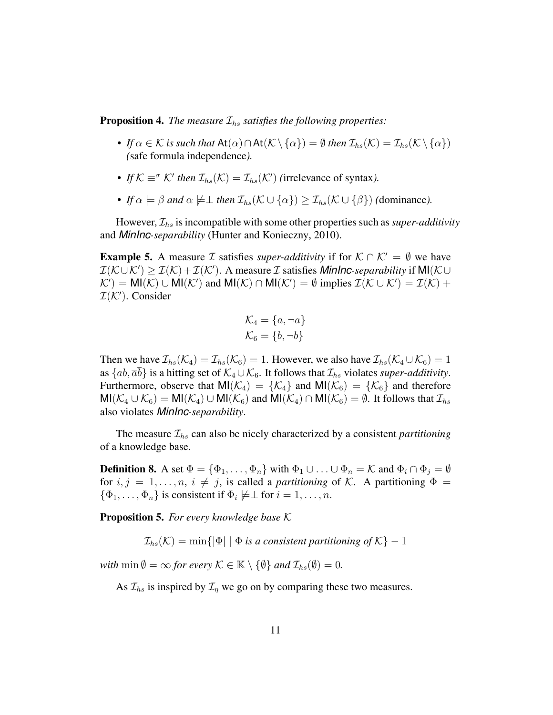**Proposition 4.** *The measure*  $\mathcal{I}_{hs}$  *satisfies the following properties:* 

- *If*  $\alpha \in \mathcal{K}$  *is such that* At $(\alpha) \cap At(\mathcal{K} \setminus {\{\alpha\}}) = \emptyset$  *then*  $\mathcal{I}_{hs}(\mathcal{K}) = \mathcal{I}_{hs}(\mathcal{K} \setminus {\{\alpha\}})$ *(*safe formula independence*).*
- *If*  $K \equiv \sigma$   $K'$  *then*  $\mathcal{I}_{hs}(K) = \mathcal{I}_{hs}(K')$  (irrelevance of syntax).
- *If*  $\alpha \models \beta$  *and*  $\alpha \not\models \bot$  *then*  $\mathcal{I}_{hs}(\mathcal{K} \cup {\alpha}) \geq \mathcal{I}_{hs}(\mathcal{K} \cup {\beta})$  *(dominance).*

However,  $\mathcal{I}_{hs}$  is incompatible with some other properties such as *super-additivity* and *MinInc-separability* (Hunter and Konieczny, 2010).

**Example 5.** A measure *I* satisfies *super-additivity* if for  $K \cap K' = \emptyset$  we have  $\mathcal{I}(\mathcal{K} \cup \mathcal{K}') \geq \mathcal{I}(\mathcal{K}) + \mathcal{I}(\mathcal{K}')$ . A measure *I* satisfies *MinInc-separability* if MI( $\mathcal{K} \cup$  $K'$  = MI( $K$ )  $\cup$  MI( $K'$ ) and MI( $K$ )  $\cap$  MI( $K'$ ) =  $\emptyset$  implies  $\mathcal{I}(\mathcal{K} \cup \mathcal{K}') = \mathcal{I}(\mathcal{K}) +$  $\mathcal{I}(\mathcal{K}')$ . Consider

$$
\mathcal{K}_4 = \{a, \neg a\}
$$

$$
\mathcal{K}_6 = \{b, \neg b\}
$$

Then we have  $\mathcal{I}_{hs}(\mathcal{K}_4) = \mathcal{I}_{hs}(\mathcal{K}_6) = 1$ . However, we also have  $\mathcal{I}_{hs}(\mathcal{K}_4 \cup \mathcal{K}_6) = 1$ as  $\{ab,\overline{ab}\}\$ is a hitting set of  $\mathcal{K}_4\cup\mathcal{K}_6$ . It follows that  $\mathcal{I}_{hs}$  violates *super-additivity*. Furthermore, observe that  $MI(\mathcal{K}_4) = {\mathcal{K}_4}$  and  $MI(\mathcal{K}_6) = {\mathcal{K}_6}$  and therefore  $MI(\mathcal{K}_4 \cup \mathcal{K}_6) = MI(\mathcal{K}_4) \cup MI(\mathcal{K}_6)$  and  $MI(\mathcal{K}_4) \cap MI(\mathcal{K}_6) = \emptyset$ . It follows that  $\mathcal{I}_{hs}$ also violates *MinInc-separability*.

The measure  $\mathcal{I}_{hs}$  can also be nicely characterized by a consistent *partitioning* of a knowledge base.

**Definition 8.** A set  $\Phi = {\Phi_1, \ldots, \Phi_n}$  with  $\Phi_1 \cup \ldots \cup \Phi_n = \mathcal{K}$  and  $\Phi_i \cap \Phi_j = \emptyset$ for  $i, j = 1, \ldots, n, i \neq j$ , is called a *partitioning* of K. A partitioning  $\Phi =$  $\{\Phi_1, \ldots, \Phi_n\}$  is consistent if  $\Phi_i \not\models \perp$  for  $i = 1, \ldots, n$ .

Proposition 5. *For every knowledge base* K

 $\mathcal{I}_{hs}(\mathcal{K}) = \min\{|\Phi| \mid \Phi \text{ is a consistent partitioning of } \mathcal{K}\}-1$ 

*with*  $\min \emptyset = \infty$  *for every*  $\mathcal{K} \in \mathbb{K} \setminus \{\emptyset\}$  *and*  $\mathcal{I}_{hs}(\emptyset) = 0$ *.* 

As  $\mathcal{I}_{hs}$  is inspired by  $\mathcal{I}_{\eta}$  we go on by comparing these two measures.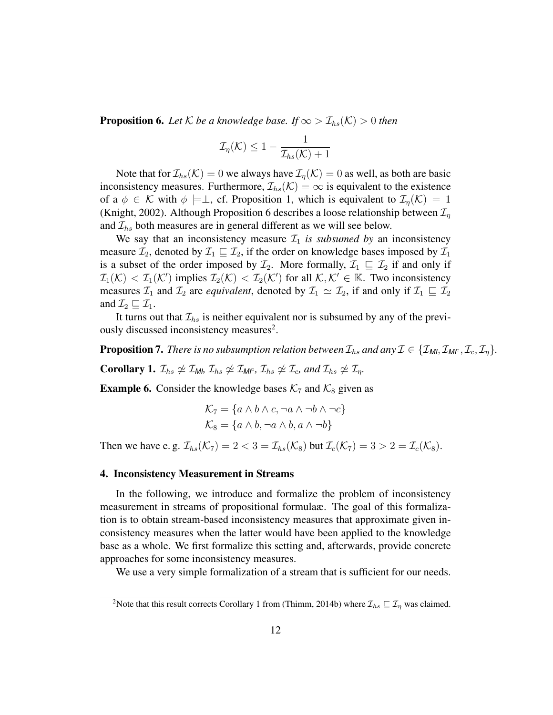**Proposition 6.** Let  $K$  be a knowledge base. If  $\infty > \mathcal{I}_{hs}(K) > 0$  then

$$
\mathcal{I}_{\eta}(\mathcal{K}) \leq 1 - \frac{1}{\mathcal{I}_{hs}(\mathcal{K}) + 1}
$$

Note that for  $\mathcal{I}_{hs}(\mathcal{K}) = 0$  we always have  $\mathcal{I}_n(\mathcal{K}) = 0$  as well, as both are basic inconsistency measures. Furthermore,  $\mathcal{I}_{hs}(\mathcal{K}) = \infty$  is equivalent to the existence of a  $\phi \in \mathcal{K}$  with  $\phi \models \perp$ , cf. Proposition 1, which is equivalent to  $\mathcal{I}_n(\mathcal{K}) = 1$ (Knight, 2002). Although Proposition 6 describes a loose relationship between  $\mathcal{I}_n$ and  $\mathcal{I}_{hs}$  both measures are in general different as we will see below.

We say that an inconsistency measure  $\mathcal{I}_1$  *is subsumed by* an inconsistency measure  $\mathcal{I}_2$ , denoted by  $\mathcal{I}_1 \sqsubseteq \mathcal{I}_2$ , if the order on knowledge bases imposed by  $\mathcal{I}_1$ is a subset of the order imposed by  $\mathcal{I}_2$ . More formally,  $\mathcal{I}_1 \subseteq \mathcal{I}_2$  if and only if  $\mathcal{I}_1(\mathcal{K}) < \mathcal{I}_1(\mathcal{K}')$  implies  $\mathcal{I}_2(\mathcal{K}) < \mathcal{I}_2(\mathcal{K}')$  for all  $\mathcal{K}, \mathcal{K}' \in \mathbb{K}$ . Two inconsistency measures  $\mathcal{I}_1$  and  $\mathcal{I}_2$  are *equivalent*, denoted by  $\mathcal{I}_1 \simeq \mathcal{I}_2$ , if and only if  $\mathcal{I}_1 \sqsubseteq \mathcal{I}_2$ and  $\mathcal{I}_2 \sqsubseteq \mathcal{I}_1$ .

It turns out that  $\mathcal{I}_{hs}$  is neither equivalent nor is subsumed by any of the previously discussed inconsistency measures<sup>2</sup>.

**Proposition 7.** *There is no subsumption relation between*  $\mathcal{I}_{hs}$  *and any*  $\mathcal{I} \in \{\mathcal{I}_{Ml}, \mathcal{I}_{Ml}, \mathcal{I}_{c}, \mathcal{I}_{n}\}.$ 

**Corollary 1.**  $\mathcal{I}_{hs} \neq \mathcal{I}_{Ml}$ ,  $\mathcal{I}_{hs} \neq \mathcal{I}_{Ml}$ <sup>c</sup>,  $\mathcal{I}_{hs} \neq \mathcal{I}_{c}$ , and  $\mathcal{I}_{hs} \neq \mathcal{I}_{n}$ .

**Example 6.** Consider the knowledge bases  $K_7$  and  $K_8$  given as

$$
\mathcal{K}_7 = \{a \land b \land c, \neg a \land \neg b \land \neg c\}
$$

$$
\mathcal{K}_8 = \{a \land b, \neg a \land b, a \land \neg b\}
$$

Then we have e.g.  $\mathcal{I}_{hs}(\mathcal{K}_7) = 2 < 3 = \mathcal{I}_{hs}(\mathcal{K}_8)$  but  $\mathcal{I}_c(\mathcal{K}_7) = 3 > 2 = \mathcal{I}_c(\mathcal{K}_8)$ .

## 4. Inconsistency Measurement in Streams

In the following, we introduce and formalize the problem of inconsistency measurement in streams of propositional formulaæ. The goal of this formalization is to obtain stream-based inconsistency measures that approximate given inconsistency measures when the latter would have been applied to the knowledge base as a whole. We first formalize this setting and, afterwards, provide concrete approaches for some inconsistency measures.

We use a very simple formalization of a stream that is sufficient for our needs.

<sup>&</sup>lt;sup>2</sup>Note that this result corrects Corollary 1 from (Thimm, 2014b) where  $\mathcal{I}_{hs} \sqsubseteq \mathcal{I}_n$  was claimed.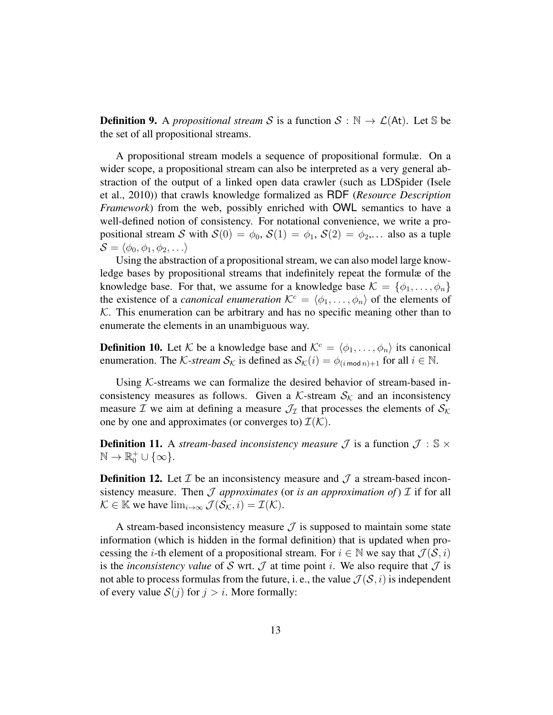**Definition 9.** A *propositional stream* S is a function  $S : \mathbb{N} \to \mathcal{L}(A_t)$ . Let S be the set of all propositional streams.

A propositional stream models a sequence of propositional formulæ. On a wider scope, a propositional stream can also be interpreted as a very general abstraction of the output of a linked open data crawler (such as LDSpider (Isele et al., 2010)) that crawls knowledge formalized as RDF (*Resource Description Framework*) from the web, possibly enriched with OWL semantics to have a well-defined notion of consistency. For notational convenience, we write a propositional stream S with  $S(0) = \phi_0$ ,  $S(1) = \phi_1$ ,  $S(2) = \phi_2$ ,... also as a tuple  $\mathcal{S} = \langle \phi_0, \phi_1, \phi_2, \ldots \rangle$ 

Using the abstraction of a propositional stream, we can also model large knowledge bases by propositional streams that indefinitely repeat the formulæ of the knowledge base. For that, we assume for a knowledge base  $\mathcal{K} = \{\phi_1, \ldots, \phi_n\}$ the existence of a *canonical enumeration*  $\mathcal{K}^c = \langle \phi_1, \ldots, \phi_n \rangle$  of the elements of  $K$ . This enumeration can be arbitrary and has no specific meaning other than to enumerate the elements in an unambiguous way.

**Definition 10.** Let K be a knowledge base and  $\mathcal{K}^c = \langle \phi_1, \dots, \phi_n \rangle$  its canonical enumeration. The *K*-stream  $S_K$  is defined as  $S_K(i) = \phi_{(i \mod n)+1}$  for all  $i \in \mathbb{N}$ .

Using  $K$ -streams we can formalize the desired behavior of stream-based inconsistency measures as follows. Given a K-stream  $S_K$  and an inconsistency measure  $\mathcal I$  we aim at defining a measure  $\mathcal J_{\mathcal I}$  that processes the elements of  $\mathcal S_{\mathcal K}$ one by one and approximates (or converges to)  $\mathcal{I}(\mathcal{K})$ .

**Definition 11.** A *stream-based inconsistency measure*  $\mathcal{J}$  is a function  $\mathcal{J} : \mathbb{S} \times$  $\mathbb{N} \to \mathbb{R}_0^+ \cup \{\infty\}.$ 

**Definition 12.** Let  $\mathcal I$  be an inconsistency measure and  $\mathcal J$  a stream-based inconsistency measure. Then  $\mathcal J$  *approximates* (or *is an approximation of*)  $\mathcal I$  if for all  $\mathcal{K} \in \mathbb{K}$  we have  $\lim_{i \to \infty} \mathcal{J}(\mathcal{S}_{\mathcal{K}}, i) = \mathcal{I}(\mathcal{K})$ .

A stream-based inconsistency measure  $\mathcal J$  is supposed to maintain some state information (which is hidden in the formal definition) that is updated when processing the *i*-th element of a propositional stream. For  $i \in \mathbb{N}$  we say that  $\mathcal{J}(\mathcal{S}, i)$ is the *inconsistency value* of S wrt.  $\mathcal J$  at time point *i*. We also require that  $\mathcal J$  is not able to process formulas from the future, i. e., the value  $\mathcal{J}(\mathcal{S}, i)$  is independent of every value  $S(j)$  for  $j > i$ . More formally: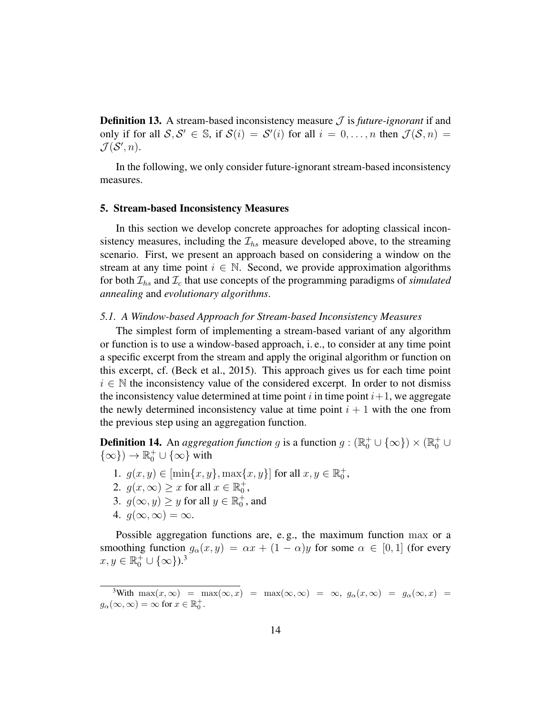**Definition 13.** A stream-based inconsistency measure  $\mathcal{J}$  is *future-ignorant* if and only if for all  $S, S' \in \mathbb{S}$ , if  $S(i) = S'(i)$  for all  $i = 0, \ldots, n$  then  $\mathcal{J}(S, n) =$  $\mathcal{J}(\mathcal{S}', n)$ .

In the following, we only consider future-ignorant stream-based inconsistency measures.

#### 5. Stream-based Inconsistency Measures

In this section we develop concrete approaches for adopting classical inconsistency measures, including the  $\mathcal{I}_{hs}$  measure developed above, to the streaming scenario. First, we present an approach based on considering a window on the stream at any time point  $i \in \mathbb{N}$ . Second, we provide approximation algorithms for both  $\mathcal{I}_{hs}$  and  $\mathcal{I}_{c}$  that use concepts of the programming paradigms of *simulated annealing* and *evolutionary algorithms*.

#### *5.1. A Window-based Approach for Stream-based Inconsistency Measures*

The simplest form of implementing a stream-based variant of any algorithm or function is to use a window-based approach, i. e., to consider at any time point a specific excerpt from the stream and apply the original algorithm or function on this excerpt, cf. (Beck et al., 2015). This approach gives us for each time point  $i \in \mathbb{N}$  the inconsistency value of the considered excerpt. In order to not dismiss the inconsistency value determined at time point  $i$  in time point  $i+1$ , we aggregate the newly determined inconsistency value at time point  $i + 1$  with the one from the previous step using an aggregation function.

**Definition 14.** An *aggregation function g* is a function  $g : (\mathbb{R}_0^+ \cup {\infty}) \times (\mathbb{R}_0^+ \cup$  $\{\infty\}) \to \mathbb{R}_0^+ \cup \{\infty\}$  with

- 1.  $g(x, y) \in [\min\{x, y\}, \max\{x, y\}]$  for all  $x, y \in \mathbb{R}_0^+$ ,
- 2.  $g(x,\infty) \geq x$  for all  $x \in \mathbb{R}_0^+$ ,
- 3.  $g(\infty, y) \ge y$  for all  $y \in \mathbb{R}_0^+$ , and
- 4.  $q(\infty,\infty) = \infty$ .

Possible aggregation functions are, e. g., the maximum function max or a smoothing function  $g_{\alpha}(x, y) = \alpha x + (1 - \alpha)y$  for some  $\alpha \in [0, 1]$  (for every  $x, y \in \mathbb{R}_0^+ \cup \{\infty\}$ .<sup>3</sup>

<sup>&</sup>lt;sup>3</sup>With max $(x, \infty)$  = max $(\infty, x)$  = max $(\infty, \infty)$  =  $\infty$ ,  $g_{\alpha}(x, \infty)$  =  $g_{\alpha}(\infty, x)$  =  $g_{\alpha}(\infty, \infty) = \infty$  for  $x \in \mathbb{R}_0^+$ .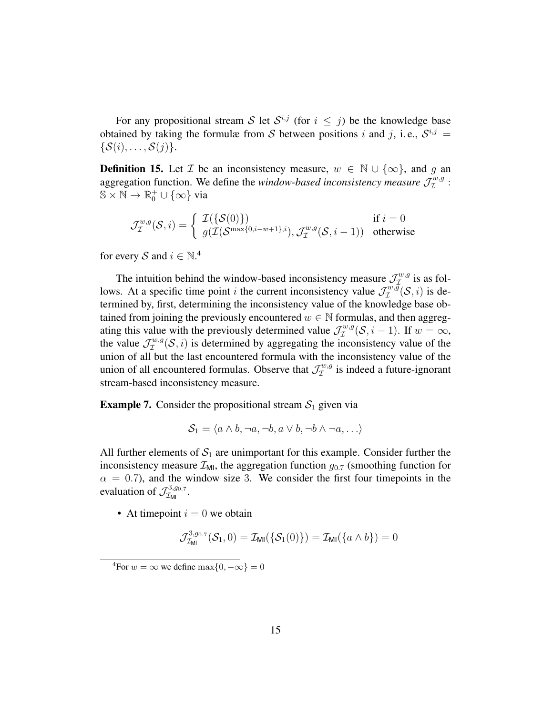For any propositional stream S let  $S^{i,j}$  (for  $i \leq j$ ) be the knowledge base obtained by taking the formulæ from S between positions i and j, i.e.,  $S^{i,j}$  =  $\{\mathcal{S}(i), \ldots, \mathcal{S}(j)\}.$ 

**Definition 15.** Let  $\mathcal{I}$  be an inconsistency measure,  $w \in \mathbb{N} \cup \{\infty\}$ , and g an aggregation function. We define the *window-based inconsistency measure*  $\mathcal{J}_\mathcal{I}^{w,g}$  $\mathcal{I}^{w,g}$ :  $\mathbb{S} \times \mathbb{N} \to \mathbb{R}_0^+ \cup \{\infty\}$  via

$$
\mathcal{J}_{\mathcal{I}}^{w,g}(\mathcal{S},i) = \begin{cases} \mathcal{I}(\{\mathcal{S}(0)\}) & \text{if } i = 0\\ g(\mathcal{I}(\mathcal{S}^{\max\{0,i-w+1\},i}), \mathcal{J}_{\mathcal{I}}^{w,g}(\mathcal{S},i-1)) & \text{otherwise} \end{cases}
$$

for every S and  $i \in \mathbb{N}^4$ 

The intuition behind the window-based inconsistency measure  $\mathcal{J}^{w,g}_{\mathcal{I}}$  is as follows. At a specific time point *i* the current inconsistency value  $\mathcal{J}_\mathcal{I}^{w,g}(\mathcal{S},i)$  is determined by, first, determining the inconsistency value of the knowledge base obtained from joining the previously encountered  $w \in \mathbb{N}$  formulas, and then aggregating this value with the previously determined value  $\mathcal{J}_{\mathcal{I}}^{w,g}(\mathcal{S},i-1)$ . If  $w = \infty$ , the value  $\mathcal{J}_\mathcal{I}^{w,g}(\mathcal{S},i)$  is determined by aggregating the in  $\mathcal{I}^{w,g}(\mathcal{S}, i)$  is determined by aggregating the inconsistency value of the union of all but the last encountered formula with the inconsistency value of the union of all encountered formulas. Observe that  $\mathcal{J}_\mathcal{I}^{w,g}$  $\tau^{w,g}$  is indeed a future-ignorant stream-based inconsistency measure.

**Example 7.** Consider the propositional stream  $S_1$  given via

 $\mathcal{S}_1 = \langle a \wedge b, \neg a, \neg b, a \vee b, \neg b \wedge \neg a, \ldots \rangle$ 

All further elements of  $S_1$  are unimportant for this example. Consider further the inconsistency measure  $\mathcal{I}_{\text{M1}}$ , the aggregation function  $g_{0.7}$  (smoothing function for  $\alpha = 0.7$ ), and the window size 3. We consider the first four timepoints in the evaluation of  $\mathcal{J}_{\mathcal{I}_{\mathsf{MII}}}^{3,g_{0.7}}$  $\tau^{3, g_{0.7}}_{\mathcal{M} \mathsf{I}}$  .

• At timepoint  $i = 0$  we obtain

$$
\mathcal{J}_{\mathcal{I}_{\text{MI}}}^{3,g_0.7}(\mathcal{S}_1,0)=\mathcal{I}_{\text{MI}}(\{\mathcal{S}_1(0)\})=\mathcal{I}_{\text{MI}}(\{a\wedge b\})=0
$$

 $\sqrt[4]{4}$ For  $w = \infty$  we define  $\max\{0, -\infty\} = 0$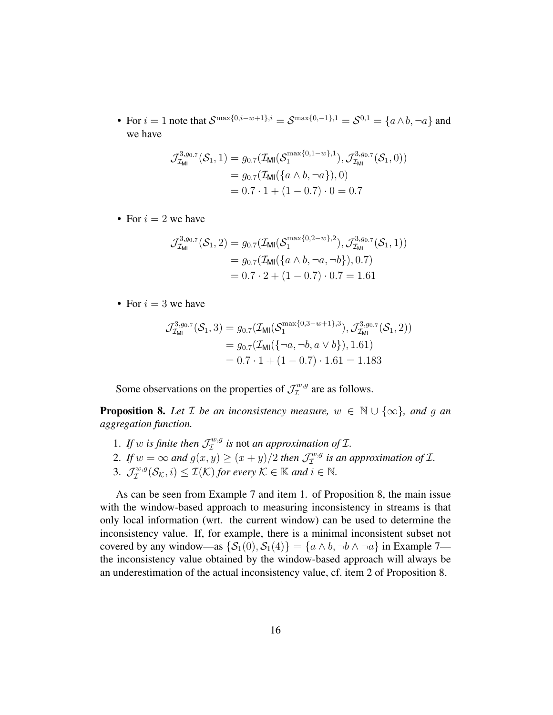• For  $i = 1$  note that  $S^{\max\{0, i-w+1\}, i} = S^{\max\{0, -1\}, 1} = S^{0,1} = \{a \wedge b, \neg a\}$  and we have

$$
\mathcal{J}_{\mathcal{I}_{\mathsf{M}1}}^{3, g_0.7}(\mathcal{S}_1, 1) = g_{0.7}(\mathcal{I}_{\mathsf{M}1}(\mathcal{S}_1^{\max\{0, 1-w\}, 1}), \mathcal{J}_{\mathcal{I}_{\mathsf{M}1}}^{3, g_0.7}(\mathcal{S}_1, 0))
$$
  
=  $g_{0.7}(\mathcal{I}_{\mathsf{M}1}(\{a \wedge b, \neg a\}), 0)$   
=  $0.7 \cdot 1 + (1 - 0.7) \cdot 0 = 0.7$ 

• For  $i = 2$  we have

$$
\mathcal{J}_{\mathcal{I}_{\mathsf{M}1}}^{3,g_0.7}(\mathcal{S}_1,2) = g_{0.7}(\mathcal{I}_{\mathsf{M}1}(\mathcal{S}_1^{\max\{0,2-w\},2}), \mathcal{J}_{\mathcal{I}_{\mathsf{M}1}}^{3,g_0.7}(\mathcal{S}_1,1))
$$
  
=  $g_{0.7}(\mathcal{I}_{\mathsf{M}1}(\{a \wedge b, \neg a, \neg b\}), 0.7)$   
=  $0.7 \cdot 2 + (1 - 0.7) \cdot 0.7 = 1.61$ 

• For  $i = 3$  we have

$$
\mathcal{J}_{\mathcal{I}_{\text{MM}}}^{3,g_{0.7}}(\mathcal{S}_1,3) = g_{0.7}(\mathcal{I}_{\text{MM}}(\mathcal{S}_1^{\max\{0,3-w+1\},3}), \mathcal{J}_{\mathcal{I}_{\text{MM}}}^{3,g_{0.7}}(\mathcal{S}_1,2))
$$
  
=  $g_{0.7}(\mathcal{I}_{\text{MM}}(\{\neg a,\neg b,a \lor b\}),1.61)$   
=  $0.7 \cdot 1 + (1 - 0.7) \cdot 1.61 = 1.183$ 

Some observations on the properties of  $\mathcal{J}_\mathcal{I}^{w,g}$  $\tau^{w,g}_{\tau}$  are as follows.

**Proposition 8.** Let  $\mathcal{I}$  be an inconsistency measure,  $w \in \mathbb{N} \cup \{\infty\}$ , and g an *aggregation function.*

- 1. If w is finite then  $\mathcal{J}_\mathcal{I}^{w,g}$  is not *an approximation of*  $\mathcal{I}$ *.*
- 2. If  $w = \infty$  and  $g(x, y) \ge (x + y)/2$  then  $\mathcal{J}_\mathcal{I}^{w,g}$  $I^{w,g}_{\mathcal{I}}$  is an approximation of  $\mathcal{I}.$
- 3.  $\mathcal{J}_\mathcal{I}^{w,g}$  $\mathcal{I}_{\mathcal{I}}^{w,g}(\mathcal{S}_{\mathcal{K}},i) \leq \mathcal{I}(\mathcal{K})$  for every  $\mathcal{K} \in \mathbb{K}$  and  $i \in \mathbb{N}$ .

As can be seen from Example 7 and item 1. of Proposition 8, the main issue with the window-based approach to measuring inconsistency in streams is that only local information (wrt. the current window) can be used to determine the inconsistency value. If, for example, there is a minimal inconsistent subset not covered by any window—as  $\{S_1(0), S_1(4)\} = \{a \wedge b, \neg b \wedge \neg a\}$  in Example 7 the inconsistency value obtained by the window-based approach will always be an underestimation of the actual inconsistency value, cf. item 2 of Proposition 8.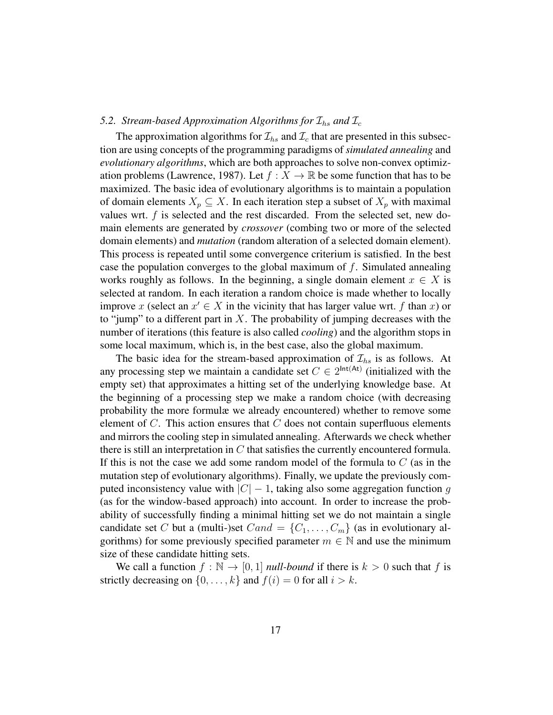#### *5.2. Stream-based Approximation Algorithms for*  $\mathcal{I}_{hs}$  *and*  $\mathcal{I}_{c}$

The approximation algorithms for  $\mathcal{I}_{hs}$  and  $\mathcal{I}_c$  that are presented in this subsection are using concepts of the programming paradigms of *simulated annealing* and *evolutionary algorithms*, which are both approaches to solve non-convex optimization problems (Lawrence, 1987). Let  $f : X \to \mathbb{R}$  be some function that has to be maximized. The basic idea of evolutionary algorithms is to maintain a population of domain elements  $X_p \subseteq X$ . In each iteration step a subset of  $X_p$  with maximal values wrt.  $f$  is selected and the rest discarded. From the selected set, new domain elements are generated by *crossover* (combing two or more of the selected domain elements) and *mutation* (random alteration of a selected domain element). This process is repeated until some convergence criterium is satisfied. In the best case the population converges to the global maximum of  $f$ . Simulated annealing works roughly as follows. In the beginning, a single domain element  $x \in X$  is selected at random. In each iteration a random choice is made whether to locally improve x (select an  $x' \in X$  in the vicinity that has larger value wrt. f than x) or to "jump" to a different part in  $X$ . The probability of jumping decreases with the number of iterations (this feature is also called *cooling*) and the algorithm stops in some local maximum, which is, in the best case, also the global maximum.

The basic idea for the stream-based approximation of  $\mathcal{I}_{hs}$  is as follows. At any processing step we maintain a candidate set  $C \in 2^{\text{Int}(At)}$  (initialized with the empty set) that approximates a hitting set of the underlying knowledge base. At the beginning of a processing step we make a random choice (with decreasing probability the more formulæ we already encountered) whether to remove some element of  $C$ . This action ensures that  $C$  does not contain superfluous elements and mirrors the cooling step in simulated annealing. Afterwards we check whether there is still an interpretation in  $C$  that satisfies the currently encountered formula. If this is not the case we add some random model of the formula to  $C$  (as in the mutation step of evolutionary algorithms). Finally, we update the previously computed inconsistency value with  $|C| - 1$ , taking also some aggregation function g (as for the window-based approach) into account. In order to increase the probability of successfully finding a minimal hitting set we do not maintain a single candidate set C but a (multi-)set  $Cand = \{C_1, \ldots, C_m\}$  (as in evolutionary algorithms) for some previously specified parameter  $m \in \mathbb{N}$  and use the minimum size of these candidate hitting sets.

We call a function  $f : \mathbb{N} \to [0, 1]$  *null-bound* if there is  $k > 0$  such that f is strictly decreasing on  $\{0, \ldots, k\}$  and  $f(i) = 0$  for all  $i > k$ .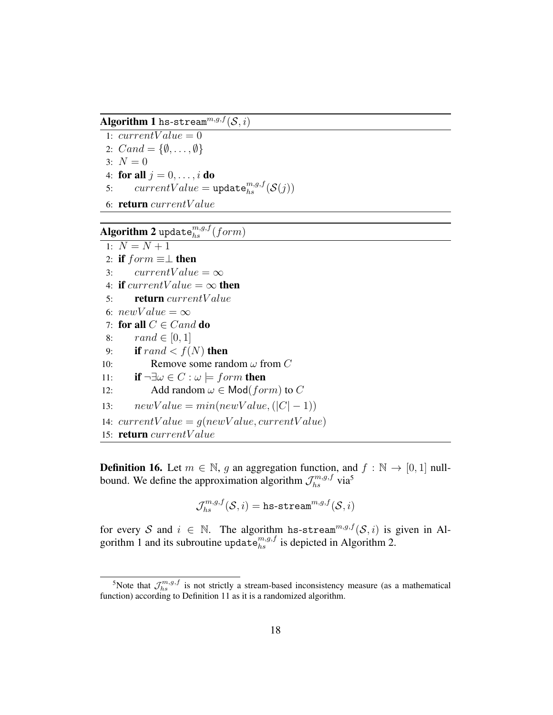Algorithm 1 hs-stream $^{m,g,f}(\mathcal{S},i)$ 

- 1:  $currentValue = 0$
- 2:  $Cand = \{\emptyset, \ldots, \emptyset\}$
- 3:  $N = 0$
- 4: for all  $j = 0, \ldots, i$  do
- 5:  $currentValue = update_{hs}^{m,g,f}(\mathcal{S}(j))$
- 6: return currentV alue

# $\mathbf{Algorithm \ 2}$  update $_{hs}^{m,g,f}(form)$

```
1: N = N + 12: if form \equiv \perp then<br>3: currentValuecurrentValue = \infty4: if currentValue = \infty then<br>5: return currentValue
          5: return currentV alue
 6: newValue = \infty7: for all C \in Cand do<br>8: rand \in [0, 1]8: rand \in [0, 1]<br>9: if rand < f(
          if rand \langle f(N) \rangle then
10: Remove some random \omega from C
11: if \neg \exists \omega \in C : \omega \models form then<br>12: Add random \omega \in \text{Mod}(for)Add random \omega \in \text{Mod}(form) to C
13: newValue = min(newValue, (|C| - 1))14: currentValue = g(newValue, currentValue)15: return currentV alue
```
**Definition 16.** Let  $m \in \mathbb{N}$ , g an aggregation function, and  $f : \mathbb{N} \to [0, 1]$  nullbound. We define the approximation algorithm  $\mathcal{J}_{hs}^{m,g,f}$  via<sup>5</sup>

$$
\mathcal{J}_{hs}^{m,g,f}(\mathcal{S},i)=\texttt{hs-stream}^{m,g,f}(\mathcal{S},i)
$$

for every S and  $i \in \mathbb{N}$ . The algorithm hs-stream<sup>m,g,f</sup>(S,i) is given in Algorithm 1 and its subroutine update ${}_{hs}^{m,g,f}$  is depicted in Algorithm 2.

<sup>&</sup>lt;sup>5</sup>Note that  $\mathcal{J}_{hs}^{m,g,f}$  is not strictly a stream-based inconsistency measure (as a mathematical function) according to Definition 11 as it is a randomized algorithm.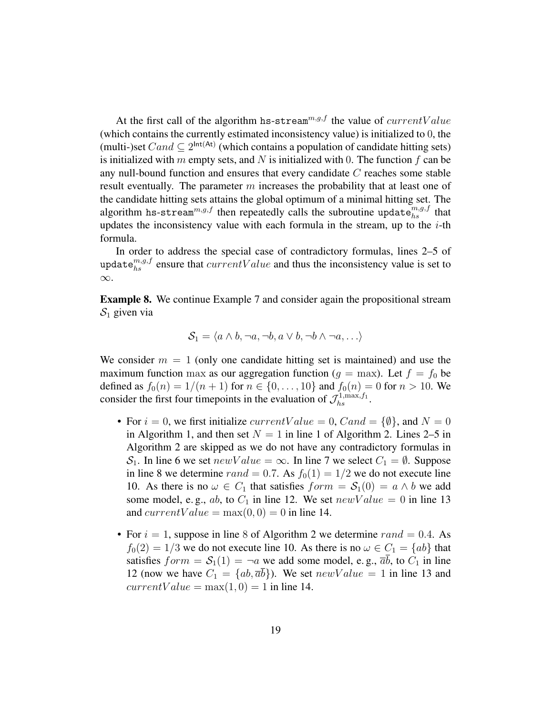At the first call of the algorithm hs-stream<sup>m,g,f</sup> the value of  $currentValue$ (which contains the currently estimated inconsistency value) is initialized to 0, the (multi-)set  $Cand \subseteq 2^{\text{Int}(At)}$  (which contains a population of candidate hitting sets) is initialized with m empty sets, and N is initialized with 0. The function  $f$  can be any null-bound function and ensures that every candidate C reaches some stable result eventually. The parameter  $m$  increases the probability that at least one of the candidate hitting sets attains the global optimum of a minimal hitting set. The algorithm hs-stream $^{m,g,f}$  then repeatedly calls the subroutine update $_{hs}^{m,g,f}$  that updates the inconsistency value with each formula in the stream, up to the  $i$ -th formula.

In order to address the special case of contradictory formulas, lines 2–5 of update $_{hs}^{m,g,f}$  ensure that  $currentValue$  and thus the inconsistency value is set to ∞.

Example 8. We continue Example 7 and consider again the propositional stream  $S_1$  given via

$$
S_1 = \langle a \wedge b, \neg a, \neg b, a \vee b, \neg b \wedge \neg a, \ldots \rangle
$$

We consider  $m = 1$  (only one candidate hitting set is maintained) and use the maximum function max as our aggregation function ( $q = \text{max}$ ). Let  $f = f_0$  be defined as  $f_0(n) = 1/(n + 1)$  for  $n \in \{0, ..., 10\}$  and  $f_0(n) = 0$  for  $n > 10$ . We consider the first four timepoints in the evaluation of  $\mathcal{J}_{hs}^{1,\max,f_1}$ .

- For  $i = 0$ , we first initialize *currentValue* = 0, *Cand* = { $\emptyset$ }, and *N* = 0 in Algorithm 1, and then set  $N = 1$  in line 1 of Algorithm 2. Lines 2–5 in Algorithm 2 are skipped as we do not have any contradictory formulas in  $S_1$ . In line 6 we set  $newValue = \infty$ . In line 7 we select  $C_1 = \emptyset$ . Suppose in line 8 we determine  $rand = 0.7$ . As  $f_0(1) = 1/2$  we do not execute line 10. As there is no  $\omega \in C_1$  that satisfies  $form = S_1(0) = a \wedge b$  we add some model, e.g., ab, to  $C_1$  in line 12. We set  $newValue = 0$  in line 13 and current Value =  $max(0, 0) = 0$  in line 14.
- For  $i = 1$ , suppose in line 8 of Algorithm 2 we determine  $rand = 0.4$ . As  $f_0(2) = 1/3$  we do not execute line 10. As there is no  $\omega \in C_1 = \{ab\}$  that satisfies  $form = S_1(1) = \neg a$  we add some model, e.g.,  $\overline{ab}$ , to  $C_1$  in line 12 (now we have  $C_1 = \{ab, \overline{ab}\}\)$ ). We set  $newValue = 1$  in line 13 and  $currentValue = max(1, 0) = 1$  in line 14.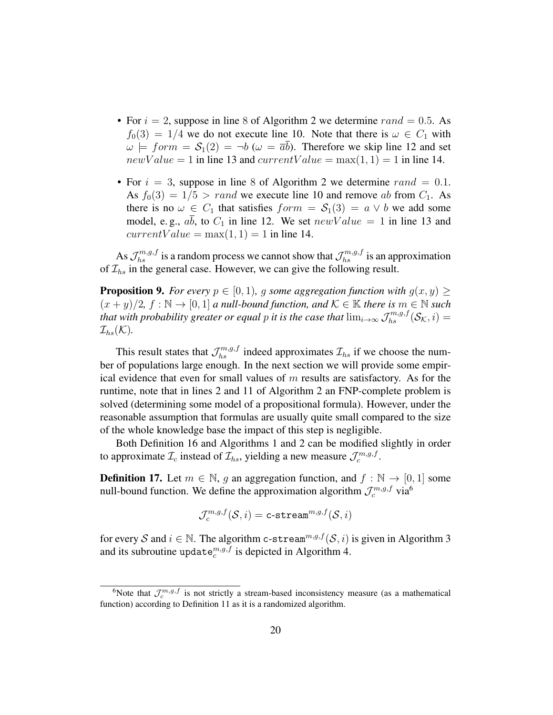- For  $i = 2$ , suppose in line 8 of Algorithm 2 we determine  $rand = 0.5$ . As  $f_0(3) = 1/4$  we do not execute line 10. Note that there is  $\omega \in C_1$  with  $\omega \models form = S_1(2) = \neg b \ (\omega = \overline{a}\overline{b}).$  Therefore we skip line 12 and set  $newValue = 1$  in line 13 and  $currentValue = \max(1, 1) = 1$  in line 14.
- For  $i = 3$ , suppose in line 8 of Algorithm 2 we determine rand = 0.1. As  $f_0(3) = 1/5 > rand$  we execute line 10 and remove ab from  $C_1$ . As there is no  $\omega \in C_1$  that satisfies  $form = S_1(3) = a \vee b$  we add some model, e.g., ab, to  $C_1$  in line 12. We set  $newValue = 1$  in line 13 and  $currentValue = max(1, 1) = 1$  in line 14.

As  $\mathcal{J}_{hs}^{m,g,f}$  is a random process we cannot show that  $\mathcal{J}_{hs}^{m,g,f}$  is an approximation of  $\mathcal{I}_{hs}$  in the general case. However, we can give the following result.

**Proposition 9.** *For every*  $p \in [0, 1)$ *, g some aggregation function with*  $q(x, y) \ge$  $(x + y)/2$ ,  $f : \mathbb{N} \to [0, 1]$  *a null-bound function, and*  $\mathcal{K} \in \mathbb{K}$  *there is*  $m \in \mathbb{N}$  *such that with probability greater or equal p it is the case that*  $\lim_{i\to\infty}\mathcal{J}_{hs}^{m,g,f}(\mathcal{S}_{\mathcal{K}},i)=$  $\mathcal{I}_{hs}(\mathcal{K}).$ 

This result states that  $\mathcal{J}_{hs}^{m,g,f}$  indeed approximates  $\mathcal{I}_{hs}$  if we choose the number of populations large enough. In the next section we will provide some empirical evidence that even for small values of  $m$  results are satisfactory. As for the runtime, note that in lines 2 and 11 of Algorithm 2 an FNP-complete problem is solved (determining some model of a propositional formula). However, under the reasonable assumption that formulas are usually quite small compared to the size of the whole knowledge base the impact of this step is negligible.

Both Definition 16 and Algorithms 1 and 2 can be modified slightly in order to approximate  $\mathcal{I}_c$  instead of  $\mathcal{I}_{hs}$ , yielding a new measure  $\mathcal{J}_c^{m,g,f}$ .

**Definition 17.** Let  $m \in \mathbb{N}$ , g an aggregation function, and  $f : \mathbb{N} \to [0, 1]$  some null-bound function. We define the approximation algorithm  $\mathcal{J}_c^{m,g,f}$  via<sup>6</sup>

$$
\mathcal{J}^{m,g,f}_c(\mathcal{S},i) = \texttt{c-stream}^{m,g,f}(\mathcal{S},i)
$$

for every S and  $i \in \mathbb{N}$ . The algorithm c-stream<sup>m,g,f</sup>(S, i) is given in Algorithm 3 and its subroutine update $c_c^{m,g,f}$  is depicted in Algorithm 4.

<sup>&</sup>lt;sup>6</sup>Note that  $\mathcal{J}_c^{m,g,f}$  is not strictly a stream-based inconsistency measure (as a mathematical function) according to Definition 11 as it is a randomized algorithm.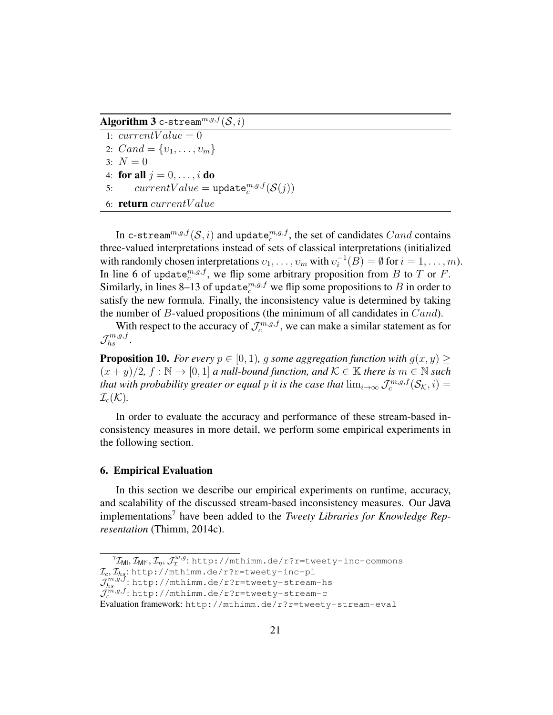Algorithm 3 c-stream $^{\overline{m},g,f}(\overline{\mathcal{S}},i)$ 

- 1:  $currentValue = 0$
- 2:  $Cand = \{v_1, \ldots, v_m\}$
- 3:  $N = 0$
- 4: for all  $i = 0, \ldots, i$  do
- 5:  $currentValue = update_c^{m,g,f}(\mathcal{S}(j))$
- 6: return currentV alue

In c-stream $^{m,g,f}(\mathcal{S},i)$  and update $^{m,g,f}_{c}$ , the set of candidates  $Cand$  contains three-valued interpretations instead of sets of classical interpretations (initialized with randomly chosen interpretations  $v_1, \ldots, v_m$  with  $v_i^{-1}(B) = \emptyset$  for  $i = 1, \ldots, m$ ). In line 6 of update  $c^{m,g,f}$ , we flip some arbitrary proposition from B to T or F. Similarly, in lines 8–13 of update $_{c}^{m,g,f}$  we flip some propositions to B in order to satisfy the new formula. Finally, the inconsistency value is determined by taking the number of  $B$ -valued propositions (the minimum of all candidates in  $Cand$ ).

With respect to the accuracy of  $\mathcal{J}_c^{m,g,f}$ , we can make a similar statement as for  $\mathcal{J}_{hs}^{m,g,f}.$ 

**Proposition 10.** *For every*  $p \in [0, 1)$ *, q some aggregation function with*  $q(x, y)$  >  $(x + y)/2$ ,  $f : \mathbb{N} \to [0, 1]$  *a null-bound function, and*  $\mathcal{K} \in \mathbb{K}$  *there is*  $m \in \mathbb{N}$  *such that with probability greater or equal p it is the case that*  $\lim_{i\to\infty} \mathcal{J}_c^{m,g,f}(\mathcal{S}_{\mathcal{K}},i)=$  $\mathcal{I}_c(\mathcal{K})$ .

In order to evaluate the accuracy and performance of these stream-based inconsistency measures in more detail, we perform some empirical experiments in the following section.

#### 6. Empirical Evaluation

In this section we describe our empirical experiments on runtime, accuracy, and scalability of the discussed stream-based inconsistency measures. Our Java implementations<sup>7</sup> have been added to the *Tweety Libraries for Knowledge Representation* (Thimm, 2014c).

 ${}^7\mathcal{I}_{\mathsf{M} \mathsf{l}}, \mathcal{I}_{\mathsf{M} \mathsf{l}^c}, \mathcal{I}_\eta, \mathcal{J}^{w,g}_\mathcal{I}$ w.g.http://mthimm.de/r?r=tweety-inc-commons

 $\mathcal{I}_{c}, \mathcal{I}_{hs}$ : http://mthimm.de/r?r=tweety-inc-pl

 $\mathcal{J}_{hs}^{m,g,f}$ : http://mthimm.de/r?r=tweety-stream-hs

 $\mathcal{J}^{m,g,f}_{c}$ : http://mthimm.de/r?r=tweety-stream-c

Evaluation framework: http://mthimm.de/r?r=tweety-stream-eval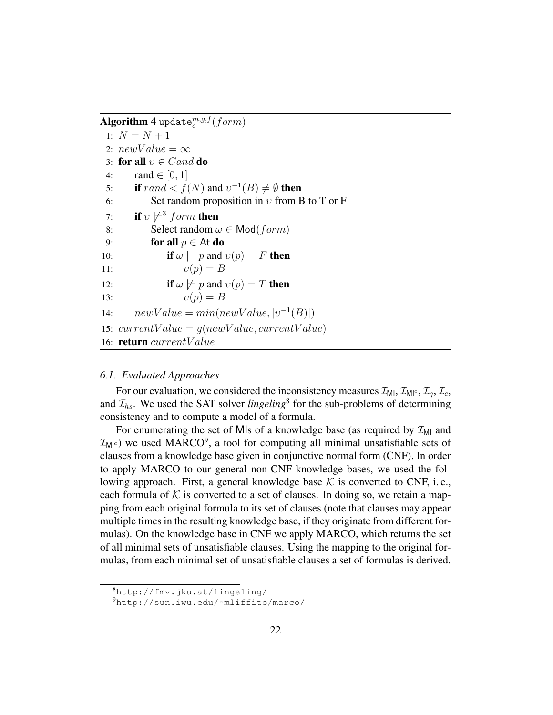$\mathbf{Algorithm~4}$  update $_c^{m,g,f}(form)$ 

1:  $N = N + 1$ 2:  $newValue = \infty$ 3: for all  $v \in C$  and do<br>4: rand  $\in [0, 1]$ 4:  $\text{rand} \in [0, 1]$ <br>5:  $\text{if } \text{rand} < f$ 5: **if**  $rand < f(N)$  and  $v^{-1}(B) \neq \emptyset$  then 6: Set random proposition in  $v$  from B to T or F 7: **if**  $v \not\models^3 form$  then 8: Select random  $\omega \in \text{Mod}(form)$ <br>9: **for all**  $p \in \text{At } \textbf{do}$ 9: **for all**  $p \in \mathsf{At} \mathbf{do}$ <br>10: **if**  $\omega \models p$  and 10: **if**  $\omega \models p$  and  $v(p) = F$  **then**<br>11:  $v(p) = B$  $v(p) = B$ 12: **if**  $\omega \not\models p$  and  $v(p) = T$  **then**<br>13:  $v(p) = B$  $v(p) = B$ 14:  $newValue = min(newValue, |v^{-1}(B)|)$ 15:  $currentValue = g(newValue, currentValue)$ 16: return currentV alue

#### *6.1. Evaluated Approaches*

For our evaluation, we considered the inconsistency measures  $\mathcal{I}_{ML}$ ,  $\mathcal{I}_{ML}$ ,  $\mathcal{I}_{\tau}$ ,  $\mathcal{I}_{\tau}$ , and  $\mathcal{I}_{hs}$ . We used the SAT solver *lingeling*<sup>8</sup> for the sub-problems of determining consistency and to compute a model of a formula.

For enumerating the set of MIs of a knowledge base (as required by  $\mathcal{I}_{ML}$  and  $\mathcal{I}_{\text{MI}^c}$ ) we used MARCO<sup>9</sup>, a tool for computing all minimal unsatisfiable sets of clauses from a knowledge base given in conjunctive normal form (CNF). In order to apply MARCO to our general non-CNF knowledge bases, we used the following approach. First, a general knowledge base  $K$  is converted to CNF, i.e., each formula of  $K$  is converted to a set of clauses. In doing so, we retain a mapping from each original formula to its set of clauses (note that clauses may appear multiple times in the resulting knowledge base, if they originate from different formulas). On the knowledge base in CNF we apply MARCO, which returns the set of all minimal sets of unsatisfiable clauses. Using the mapping to the original formulas, from each minimal set of unsatisfiable clauses a set of formulas is derived.

<sup>8</sup>http://fmv.jku.at/lingeling/

<sup>9</sup>http://sun.iwu.edu/˜mliffito/marco/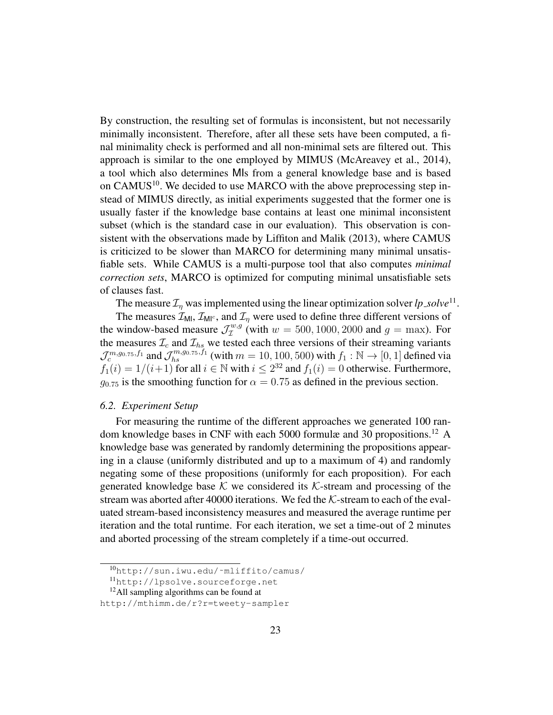By construction, the resulting set of formulas is inconsistent, but not necessarily minimally inconsistent. Therefore, after all these sets have been computed, a final minimality check is performed and all non-minimal sets are filtered out. This approach is similar to the one employed by MIMUS (McAreavey et al., 2014), a tool which also determines MIs from a general knowledge base and is based on CAMUS<sup>10</sup>. We decided to use MARCO with the above preprocessing step instead of MIMUS directly, as initial experiments suggested that the former one is usually faster if the knowledge base contains at least one minimal inconsistent subset (which is the standard case in our evaluation). This observation is consistent with the observations made by Liffiton and Malik (2013), where CAMUS is criticized to be slower than MARCO for determining many minimal unsatisfiable sets. While CAMUS is a multi-purpose tool that also computes *minimal correction sets*, MARCO is optimized for computing minimal unsatisfiable sets of clauses fast.

The measure  $\mathcal{I}_{\eta}$  was implemented using the linear optimization solver  $lp\_solve^{11}$ .

The measures  $\mathcal{I}_{\text{MI}}$ ,  $\mathcal{I}_{\text{MI}^c}$ , and  $\mathcal{I}_{\eta}$  were used to define three different versions of the window-based measure  $\mathcal{J}_{\mathcal{I}}^{w,g}$  $I_{\mathcal{I}}^{w,g}$  (with  $w = 500, 1000, 2000$  and  $g = \text{max}$ ). For the measures  $\mathcal{I}_c$  and  $\mathcal{I}_{hs}$  we tested each three versions of their streaming variants  $\mathcal{J}_c^{m,g_0,\tau_5,f_1}$  and  $\mathcal{J}_{hs}^{m,g_0,\tau_5,f_1}$  (with  $m = 10, 100, 500$ ) with  $f_1 : \mathbb{N} \to [0,1]$  defined via  $f_1(i) = 1/(i+1)$  for all  $i \in \mathbb{N}$  with  $i \leq 2^{32}$  and  $f_1(i) = 0$  otherwise. Furthermore,  $g_{0.75}$  is the smoothing function for  $\alpha = 0.75$  as defined in the previous section.

#### *6.2. Experiment Setup*

For measuring the runtime of the different approaches we generated 100 random knowledge bases in CNF with each 5000 formulæ and 30 propositions.<sup>12</sup> A knowledge base was generated by randomly determining the propositions appearing in a clause (uniformly distributed and up to a maximum of 4) and randomly negating some of these propositions (uniformly for each proposition). For each generated knowledge base  $K$  we considered its  $K$ -stream and processing of the stream was aborted after 40000 iterations. We fed the  $K$ -stream to each of the evaluated stream-based inconsistency measures and measured the average runtime per iteration and the total runtime. For each iteration, we set a time-out of 2 minutes and aborted processing of the stream completely if a time-out occurred.

<sup>10</sup>http://sun.iwu.edu/˜mliffito/camus/

<sup>11</sup>http://lpsolve.sourceforge.net

<sup>12</sup>All sampling algorithms can be found at

http://mthimm.de/r?r=tweety-sampler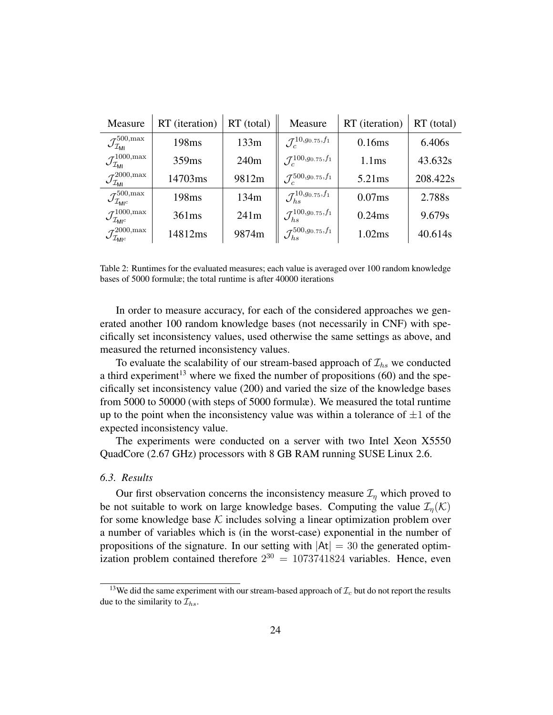| Measure                                                    | RT (iteration)    | $RT$ (total)     | Measure                                   | RT (iteration)    | $RT$ (total) |
|------------------------------------------------------------|-------------------|------------------|-------------------------------------------|-------------------|--------------|
| $\mathcal{J}^{500,\rm max}_{\mathcal{I}_{\textsf{MI}}}$    | 198 <sub>ms</sub> | 133m             | $\mathcal{J}_{c}^{10,g_{0.75},f_{1}}$     | 0.16ms            | 6.406s       |
| $\mathcal{J}^{1000,\rm max}_{\mathcal{I}_{\rm ML}}$        | 359 <sub>ms</sub> | 240 <sub>m</sub> | $\mathcal{J}^{100,g_{0.75},f_{1}}_{c}$    | 1.1 <sub>ms</sub> | 43.632s      |
| $\mathcal{J}^{2000,\rm max}_{\mathcal{I}_{\rm MI}}$        | 14703ms           | 9812m            | $\mathcal{J}_c^{500, g_{0.75}, f_1}$      | 5.21ms            | 208.422s     |
| $\mathcal{J}^{500,\rm max}_{\mathcal{I}_{\rm MIC}}$        | 198 <sub>ms</sub> | 134m             | $\mathcal{J}_{hs}^{10,g_{0.75},f_{1}}$    | 0.07ms            | 2.788s       |
| $\mathcal{J}^{1000,\rm max}_{\mathcal{I}_{\mathsf{M}l^c}}$ | 361ms             | 241m             | $\mathcal{J}_{hs}^{100, g_{0.75}, f_{1}}$ | 0.24ms            | 9.679s       |
| $\mathcal{J}^{2000,\rm max}_{\mathcal{I}_{\rm Ml^c}}$      | 14812ms           | 9874m            | $\mathcal{J}_{hs}^{500,g_{0.75},f_{1}}$   | 1.02ms            | 40.614s      |

Table 2: Runtimes for the evaluated measures; each value is averaged over 100 random knowledge bases of 5000 formulæ; the total runtime is after 40000 iterations

In order to measure accuracy, for each of the considered approaches we generated another 100 random knowledge bases (not necessarily in CNF) with specifically set inconsistency values, used otherwise the same settings as above, and measured the returned inconsistency values.

To evaluate the scalability of our stream-based approach of  $\mathcal{I}_{hs}$  we conducted a third experiment<sup>13</sup> where we fixed the number of propositions  $(60)$  and the specifically set inconsistency value (200) and varied the size of the knowledge bases from 5000 to 50000 (with steps of 5000 formulæ). We measured the total runtime up to the point when the inconsistency value was within a tolerance of  $\pm 1$  of the expected inconsistency value.

The experiments were conducted on a server with two Intel Xeon X5550 QuadCore (2.67 GHz) processors with 8 GB RAM running SUSE Linux 2.6.

#### *6.3. Results*

Our first observation concerns the inconsistency measure  $\mathcal{I}_\eta$  which proved to be not suitable to work on large knowledge bases. Computing the value  $\mathcal{I}_n(\mathcal{K})$ for some knowledge base  $K$  includes solving a linear optimization problem over a number of variables which is (in the worst-case) exponential in the number of propositions of the signature. In our setting with  $|At| = 30$  the generated optimization problem contained therefore  $2^{30} = 1073741824$  variables. Hence, even

<sup>&</sup>lt;sup>13</sup>We did the same experiment with our stream-based approach of  $\mathcal{I}_c$  but do not report the results due to the similarity to  $\mathcal{I}_{hs}$ .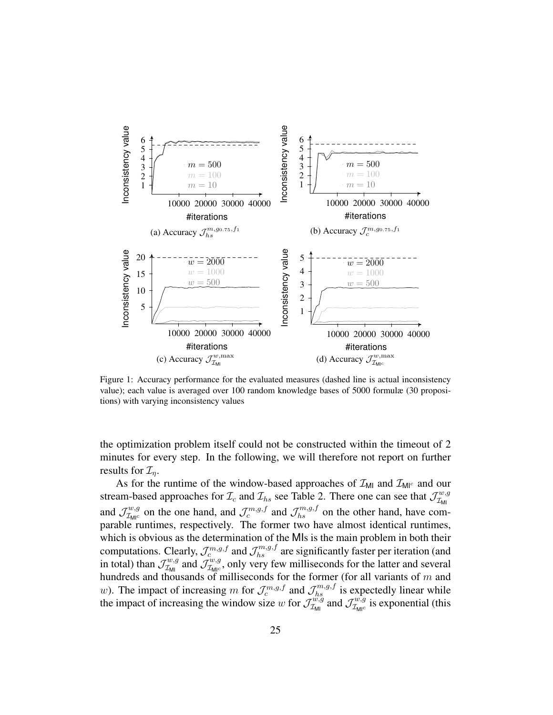

value); each value is averaged over 100 random knowledge bases of 5000 formulæ (30 proposivalue); each value is averaged over  $\alpha$  random knowledge bases of 5000 formule (50 propositions); the serving inconsistency values tions) with varying inconsistency values value); each value is averaged over 100 random knowledge bases of 5000 formulæ (30 propositions) with varying inconsistency values tions) with varying inconsistency values tions) with varying inconsistency values tions) with varying inconsistency values Figure 1: Accuracy performance for the evaluated measures (dashed line is actual inconsistency

minutes for every step. In the following, we will therefore not report on further  $\frac{1}{2}$  minutes for every step. In the following, we will therefore not report on further the optimization  $\mathcal{L}_{\eta}$ .<br>As for the mustime of the window besed engagedee of  $\mathcal{I}$  and  $\mathcal{I}$  and out propositions of the signature of the signature of the signature of the signature of the signature of  $\frac{1}{2}$  minutes for every step. In the following we will therefore not report on further minutes for every step. In the following, we will therefore not report on further the optimization problem itself could not be constructed within the timeout of 2 the optimization problem is equivalent constructed with the timeout of  $\mathcal{I}_\eta$ . the optimization problem itself construction problem in the timeout of  $\mathcal{L}_{\eta}$ .

This for the funther of the window-based approaches of  $\mathcal{L}_{\text{MI}}$  and  $\mathcal{L}_{\text{MI}}$  and  $\mathcal{L}_{\text{MI}}$  and  $\mathcal{L}_{\text{MI}}$ sucally based<br>and  $7^{w,g}$  on  $\mathcal{A}_{\mathcal{I}_{\text{MIC}}}$  on the one hand, and  $\mathcal{J}_c^{(2,3,3)}$  and  $\mathcal{J}_{hs}^{(3,3,3)}$  on the other hand, have comparable runtimes, respectively. The former two have almost identical runtimes.<br>which is obvious as the determination of the MIs is the main problem in both their which is obvious as the determination of the MIs is the main problem in both their which is obvious as the determination of the wife is the main problem in both their<br>computations. Clearly,  $\mathcal{J}_k^{m,g,f}$  and  $\mathcal{J}_k^{m,g,f}$  are significantly faster per iteration (and computations, creary,  $\sigma_c$  and  $\sigma_{hs}$  are significantly raster per rectation (and  $\sigma_{hs}$ ) in total) than  $\sigma_{w,g}$  and  $\sigma_{w,g}$  and  $\sigma_{w,g}$  and  $\sigma_{w,g}$  $w_{\text{full}}$  in  $\sigma_{\text{full}}$  in  $\sigma_{\text{full}}$  can be main problem in both the main problem in both the main problem in both the main problem in both the main problem in both the main problem in  $\sigma_{\text{full}}$ nundreds and thousands of miniseconds for the former (for an variants of m and  $w$ ). The impact of increasing m for  $\mathcal{I}^{m,g,f}$  and  $\mathcal{I}^{m,g,f}$  is expectedly linear while w). The impact of increasing m for  $J_c^{m}$  and  $J_{hs}^{m}$  is expectedly linear while<br>the impact of increasing the window size w for  $J_{\tau}^{w,g}$  and  $J_{\tau}^{w,g}$  is exponential (this sucall-based<br>and  $7^{w,g}$  on and, and  $J_c^{(0)}$  and  $J_{hs}^{(0)}$  on the other hand, have comparison  $I_c^{(0)}$  in former two bays almost identical must parable runtimes, respectively. The former two have almost identical runtimes which is obvious as the determination of the MIs is the main problem in both their which is obvious as the determination of the wils is the main problem in both their<br>computations. Clearly,  $\mathcal{I}^{m,g,f}$  and  $\mathcal{I}^{m,g,f}_r$  are significantly faster per iteration (and is respectively. The formulations, respectively. The formulation of the former than the former than  $\mathcal{J}_{\text{LM}}^{w,g}$  and  $\mathcal{J}_{\text{LM}}^{w,g}$ , only very few milliseconds for the latter and several homological runtimes and t nundreds and thousands of milliseconds for the former (for all variants of m and<br>y) The impact of increasing m for  $T^{m,g,f}$  and  $T^{m,g,f}$  is expectedly linear while w). The impact of increasing m for  $J_c^{m, g, g}$  and  $J_{hs}^{m, g}$  is expectedly linear while<br>the impact of increasing the window size w for  $J_{\tau}^{w, g}$  and  $J_{\tau}^{w, g}$  is exponential (this As for the runtime of the window-based approaches of  $\mathcal{L}_{\text{MI}}$  and  $\mathcal{L}_{\text{MI}}$  and our stream-based approaches for  $\mathcal{I}_c$  and  $\mathcal{I}_{hs}$  see Table 2. There one can see that  $\mathcal{J}_{\mathcal{I}_{ML}}^{w,g}$  $A_{\mathcal{I}_{\text{Mnc}}}^{w,g}$  on the one hand, and  $\mathcal{J}_c^{m,g,f}$  and  $\mathcal{J}_{hs}^{m,g,f}$  on the other hand, have comparable runtimes, respectively. The former two have almost identical runtimes which is obvious as the determination of the MIs is the main problem in both their<br>commutations. Closely,  $\mathcal{I}_{m,q,f}^{m,q,f}$  and  $\mathcal{I}_{m,q,f}^{m,q,f}$  are significantly factor non-iteration (and computations. Clearly,  $\mathcal{J}_c^{m,g,j}$  and  $\mathcal{J}_{hs}^{m,g,j}$  are significantly faster per iteration (and in total) than  $\mathcal{J}_{\mathcal{I}_{ML}}^{w,y}$  and  $\mathcal{J}_{\mathcal{I}_{ML}}^{w,y}$ , only very few milliseconds for the latter and several hundreds and thousands of milliseconds for the former (for all variants of m and w). The impact of increasing m for  $\mathcal{J}_c^{m,g,f}$  and  $\mathcal{J}_{hs}^{m,g,f}$  is expectedly linear while<br>the impact of increasing the window size w for  $\mathcal{J}_{s}^{w,g}$  and  $\mathcal{J}_{s}^{w,g}$  is expresential (this As for the runtime of the window-based approaches of  $\mathcal{I}_{\text{MI}}$  and  $\mathcal{I}_{\text{MI}^c}$  and our  $\mathcal{J}_{\mathcal{I}_{\text{MIC}}}^{w,g}$  on the one hand, and  $\mathcal{J}_{c}^{m,g,f}$  and  $\mathcal{J}_{hs}^{m,g,f}$  on the other hand, have comparable runtimes, respectively. The former two have almost identical runtimes, which is obvious as the determination of the MIs is the main problem in both their<br>commutations. Closely,  $\mathcal{I}^{m,g,f}$  and  $\mathcal{I}^{m,g,f}$  are cignificantly fector per iteration (and computations. Clearly,  $\mathcal{J}_c^{m,g,j}$  and  $\mathcal{J}_{hs}^{m,g,j}$  are significantly faster per iteration (and in total) than  $J_{T_{\text{MI}}}^{\pi, \pi}$  and  $J_{T_{\text{MI}c}}^{\pi, \pi}$ , only very few milliseconds for the latter and several hundreds and thousands of milliseconds for the former (for all variants of m and w). The impact of increasing m for  $\mathcal{J}_c^{m,g,f}$  and  $\mathcal{J}_{hs}^{m,g,f}$  is expectedly linear while the impact of increasing the window size w  $\mu_{\text{MI}}$ and  $\mathcal{J}^{w,g}_{\mathcal{I}_{\mathsf{M} \mid c}}$  $\mathcal{I}_{\mathcal{M}_{\text{IC}}}^{w,g}$  on the one hand, and  $\mathcal{J}_{c}^{m,g,f}$  and  $\mathcal{J}_{hs}^{m,g,f}$  on the other hand, have comparable runtimes, respectively. The former two have almost identical runtimes, computations. Clearly,  $\mathcal{J}_c^{m,g,f}$  and  $\mathcal{J}_{hs}^{m,g,f}$  are significantly faster per iteration (and in total) than  $\mathcal{J}_{\mathcal{I}_{\mathsf{MI}}}^{w,g}$  $\mathcal{I}_{\mathcal{I}_{\mathsf{M}|\mathcal{I}}}^{w,g}$  and  $\mathcal{J}_{\mathcal{I}_{\mathsf{M}|\mathcal{I}}^{w,g}}^{w,g}$  $I_{\text{Mpc}}^{w,g}$ , only very few milliseconds for the latter and several hundreds and thousands of milliseconds for the former (for all variants of  $m$  and w). The impact of increasing m for  $\mathcal{J}_c^{m,g,f}$  and  $\mathcal{J}_{hs}^{m,g,f}$  is expectedly linear while the impact of increasing the window size w for  $\mathcal{J}_{\mathcal{I}_{\mathsf{MII}}}^{w,g}$  $\tau_{\text{min}}^{w,g}$  and  $\mathcal{J}_{\mathcal{I}_{\text{MI}^c}}^{w,g}$  $\tau_{\text{MIC}}^{w,g}$  is exponential (this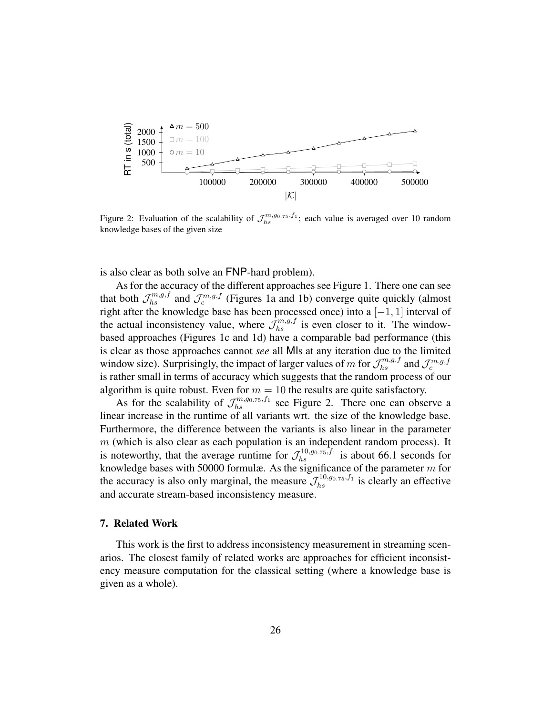

Figure 2: Evaluation of the scalability of  $\mathcal{J}_{hs}^{m,g_0.75, f_1}$ ; each value is averaged over 10 random knowledge bases of the given size knowledge bases of the given size

is also clear as both solve an FNP-hard problem).

As for the accuracy of the different approaches see Figure 1. There one can see that both  $\mathcal{J}_{hs}^{m,g,f}$  and  $\mathcal{J}_{c}^{m,g,f}$  (Figures 1a and 1b) converge quite quickly (almost right after the knowledge base has been processed once) into a  $[-1, 1]$  interval of the actual inconsistency value, where  $\mathcal{J}_{hs}^{m,g,f}$  is even closer to it. The windowbased approaches (Figures 1c and 1d) have a comparable bad performance (this is clear as those approaches cannot *see* all MIs at any iteration due to the limited  $\overline{f}^m$  is the limited window size). Surprisingly, the impact of larger values of m for  $\mathcal{J}_{hs}^{m,g,f}$  and  $\mathcal{J}_{c}^{m,g,f}$ is rather small in terms of accuracy which suggests that the random process of our algorithm is quite robust. Even for  $m = 10$  the results are quite satisfactory.

As for the scalability of  $\mathcal{J}_{hs}^{m,g_0.75,f_1}$  see Figure 2. There one can observe a linear increase in the runtime of all variants wrt. the size of the knowledge base. Furthermore, the difference between the variants is also linear in the parameter m (which is also clear as each population is an independent random process). It is noteworthy, that the average runtime for  $\mathcal{J}_{hs}^{10,0,0.75,f_1}$  is about 66.1 seconds for knowledge bases with 50000 formulæ. As the significance of the parameter  $m$  for the accuracy is also only marginal, the measure  $\mathcal{J}_{hs}^{10,0,0.75, f_1}$  is clearly an effective and accurate stream-based inconsistency measure.  $\mathbf{u}$  is about 6.1 seconds for  $\mathbf{f}$  is about 6.1 second seconds for  $\mathbf{f}$  is about 6.1 second seconds for  $\mathbf{f}$  is about 6.1 second seconds for  $\mathbf{f}$  is about 6.1 second seconds for  $\mathbf{f}$  is about 6.1 s

# 7. Related Work

arios. The closest rainity of related works are approaches for effective inconsistency measure computation for the classical setting (where a knowledge base is given as a whole). This work is the first to address inconsistency measurement in streaming scenarios. The closest family of related works are approaches for efficient inconsist-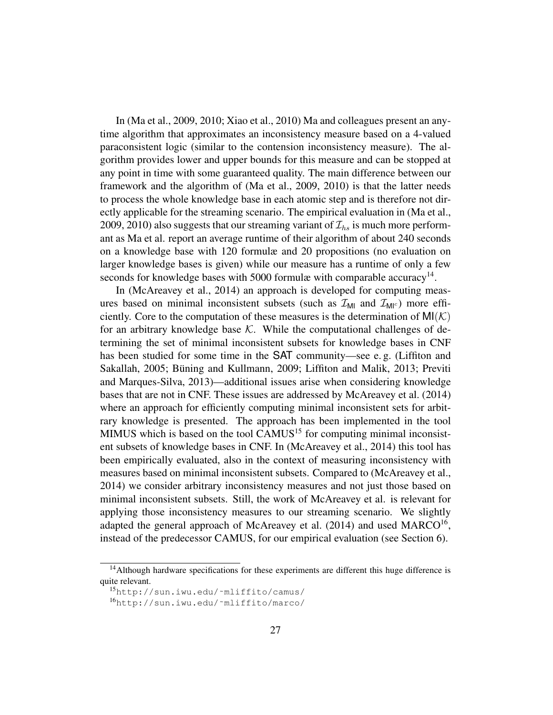In (Ma et al., 2009, 2010; Xiao et al., 2010) Ma and colleagues present an anytime algorithm that approximates an inconsistency measure based on a 4-valued paraconsistent logic (similar to the contension inconsistency measure). The algorithm provides lower and upper bounds for this measure and can be stopped at any point in time with some guaranteed quality. The main difference between our framework and the algorithm of (Ma et al., 2009, 2010) is that the latter needs to process the whole knowledge base in each atomic step and is therefore not directly applicable for the streaming scenario. The empirical evaluation in (Ma et al., 2009, 2010) also suggests that our streaming variant of  $\mathcal{I}_{hs}$  is much more performant as Ma et al. report an average runtime of their algorithm of about 240 seconds on a knowledge base with 120 formulæ and 20 propositions (no evaluation on larger knowledge bases is given) while our measure has a runtime of only a few seconds for knowledge bases with 5000 formulæ with comparable accuracy $<sup>14</sup>$ .</sup>

In (McAreavey et al., 2014) an approach is developed for computing measures based on minimal inconsistent subsets (such as  $\mathcal{I}_{\text{MI}}$  and  $\mathcal{I}_{\text{MI}^c}$ ) more efficiently. Core to the computation of these measures is the determination of  $MI(K)$ for an arbitrary knowledge base  $K$ . While the computational challenges of determining the set of minimal inconsistent subsets for knowledge bases in CNF has been studied for some time in the SAT community—see e. g. (Liffiton and Sakallah, 2005; Büning and Kullmann, 2009; Liffiton and Malik, 2013; Previti and Marques-Silva, 2013)—additional issues arise when considering knowledge bases that are not in CNF. These issues are addressed by McAreavey et al. (2014) where an approach for efficiently computing minimal inconsistent sets for arbitrary knowledge is presented. The approach has been implemented in the tool MIMUS which is based on the tool CAMUS<sup>15</sup> for computing minimal inconsistent subsets of knowledge bases in CNF. In (McAreavey et al., 2014) this tool has been empirically evaluated, also in the context of measuring inconsistency with measures based on minimal inconsistent subsets. Compared to (McAreavey et al., 2014) we consider arbitrary inconsistency measures and not just those based on minimal inconsistent subsets. Still, the work of McAreavey et al. is relevant for applying those inconsistency measures to our streaming scenario. We slightly adapted the general approach of McAreavey et al.  $(2014)$  and used MARCO<sup>16</sup>, instead of the predecessor CAMUS, for our empirical evaluation (see Section 6).

 $<sup>14</sup>$ Although hardware specifications for these experiments are different this huge difference is</sup> quite relevant.

<sup>15</sup>http://sun.iwu.edu/˜mliffito/camus/

<sup>16</sup>http://sun.iwu.edu/˜mliffito/marco/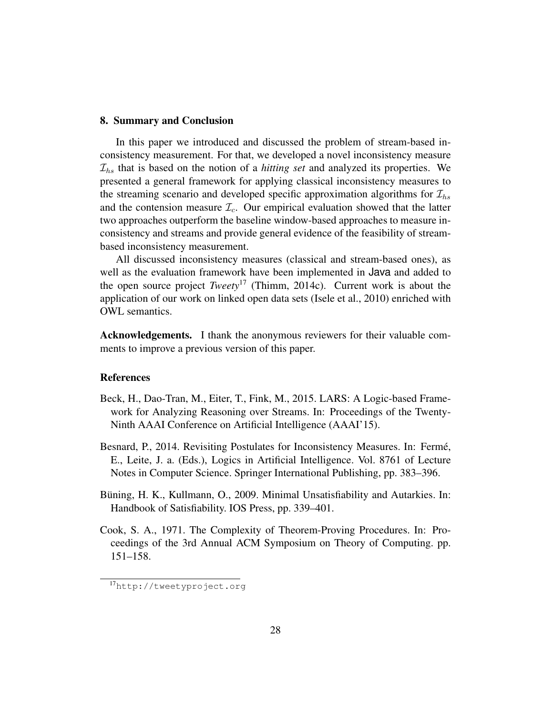#### 8. Summary and Conclusion

In this paper we introduced and discussed the problem of stream-based inconsistency measurement. For that, we developed a novel inconsistency measure  $\mathcal{I}_{hs}$  that is based on the notion of a *hitting set* and analyzed its properties. We presented a general framework for applying classical inconsistency measures to the streaming scenario and developed specific approximation algorithms for  $\mathcal{I}_{hs}$ and the contension measure  $\mathcal{I}_c$ . Our empirical evaluation showed that the latter two approaches outperform the baseline window-based approaches to measure inconsistency and streams and provide general evidence of the feasibility of streambased inconsistency measurement.

All discussed inconsistency measures (classical and stream-based ones), as well as the evaluation framework have been implemented in Java and added to the open source project *Tweety*<sup>17</sup> (Thimm, 2014c). Current work is about the application of our work on linked open data sets (Isele et al., 2010) enriched with OWL semantics.

Acknowledgements. I thank the anonymous reviewers for their valuable comments to improve a previous version of this paper.

### References

- Beck, H., Dao-Tran, M., Eiter, T., Fink, M., 2015. LARS: A Logic-based Framework for Analyzing Reasoning over Streams. In: Proceedings of the Twenty-Ninth AAAI Conference on Artificial Intelligence (AAAI'15).
- Besnard, P., 2014. Revisiting Postulates for Inconsistency Measures. In: Fermé, E., Leite, J. a. (Eds.), Logics in Artificial Intelligence. Vol. 8761 of Lecture Notes in Computer Science. Springer International Publishing, pp. 383–396.
- Büning, H. K., Kullmann, O., 2009. Minimal Unsatisfiability and Autarkies. In: Handbook of Satisfiability. IOS Press, pp. 339–401.
- Cook, S. A., 1971. The Complexity of Theorem-Proving Procedures. In: Proceedings of the 3rd Annual ACM Symposium on Theory of Computing. pp. 151–158.

<sup>17</sup>http://tweetyproject.org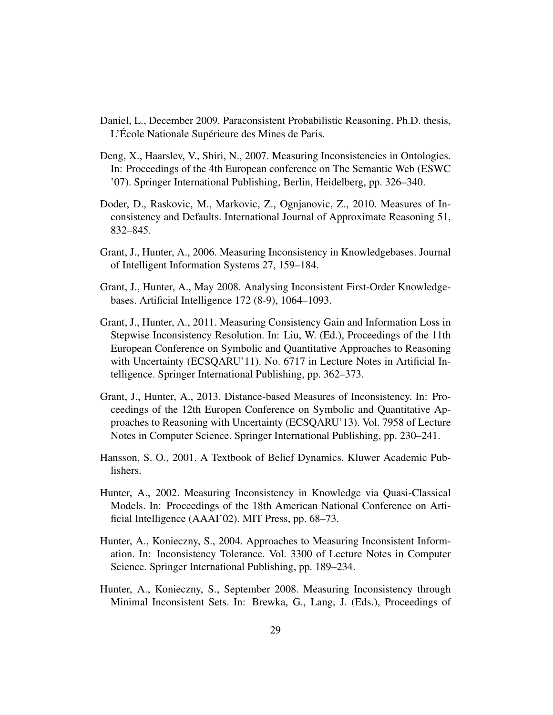- Daniel, L., December 2009. Paraconsistent Probabilistic Reasoning. Ph.D. thesis, L'École Nationale Supérieure des Mines de Paris.
- Deng, X., Haarslev, V., Shiri, N., 2007. Measuring Inconsistencies in Ontologies. In: Proceedings of the 4th European conference on The Semantic Web (ESWC '07). Springer International Publishing, Berlin, Heidelberg, pp. 326–340.
- Doder, D., Raskovic, M., Markovic, Z., Ognjanovic, Z., 2010. Measures of Inconsistency and Defaults. International Journal of Approximate Reasoning 51, 832–845.
- Grant, J., Hunter, A., 2006. Measuring Inconsistency in Knowledgebases. Journal of Intelligent Information Systems 27, 159–184.
- Grant, J., Hunter, A., May 2008. Analysing Inconsistent First-Order Knowledgebases. Artificial Intelligence 172 (8-9), 1064–1093.
- Grant, J., Hunter, A., 2011. Measuring Consistency Gain and Information Loss in Stepwise Inconsistency Resolution. In: Liu, W. (Ed.), Proceedings of the 11th European Conference on Symbolic and Quantitative Approaches to Reasoning with Uncertainty (ECSQARU'11). No. 6717 in Lecture Notes in Artificial Intelligence. Springer International Publishing, pp. 362–373.
- Grant, J., Hunter, A., 2013. Distance-based Measures of Inconsistency. In: Proceedings of the 12th Europen Conference on Symbolic and Quantitative Approaches to Reasoning with Uncertainty (ECSQARU'13). Vol. 7958 of Lecture Notes in Computer Science. Springer International Publishing, pp. 230–241.
- Hansson, S. O., 2001. A Textbook of Belief Dynamics. Kluwer Academic Publishers.
- Hunter, A., 2002. Measuring Inconsistency in Knowledge via Quasi-Classical Models. In: Proceedings of the 18th American National Conference on Artificial Intelligence (AAAI'02). MIT Press, pp. 68–73.
- Hunter, A., Konieczny, S., 2004. Approaches to Measuring Inconsistent Information. In: Inconsistency Tolerance. Vol. 3300 of Lecture Notes in Computer Science. Springer International Publishing, pp. 189–234.
- Hunter, A., Konieczny, S., September 2008. Measuring Inconsistency through Minimal Inconsistent Sets. In: Brewka, G., Lang, J. (Eds.), Proceedings of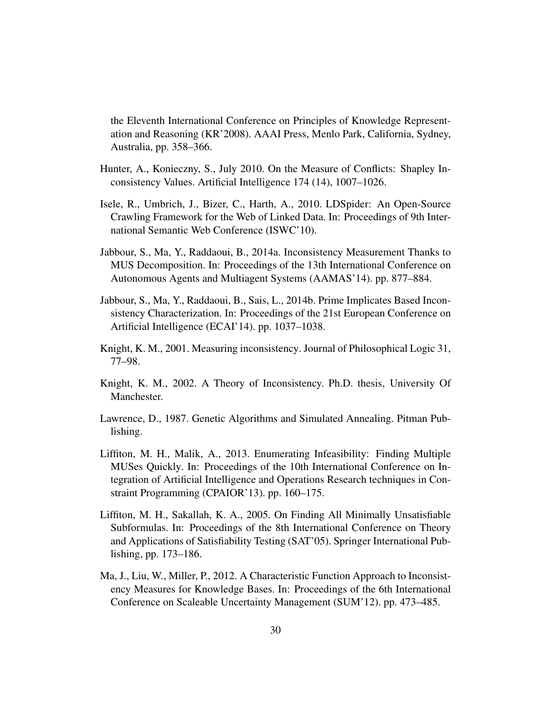the Eleventh International Conference on Principles of Knowledge Representation and Reasoning (KR'2008). AAAI Press, Menlo Park, California, Sydney, Australia, pp. 358–366.

- Hunter, A., Konieczny, S., July 2010. On the Measure of Conflicts: Shapley Inconsistency Values. Artificial Intelligence 174 (14), 1007–1026.
- Isele, R., Umbrich, J., Bizer, C., Harth, A., 2010. LDSpider: An Open-Source Crawling Framework for the Web of Linked Data. In: Proceedings of 9th International Semantic Web Conference (ISWC'10).
- Jabbour, S., Ma, Y., Raddaoui, B., 2014a. Inconsistency Measurement Thanks to MUS Decomposition. In: Proceedings of the 13th International Conference on Autonomous Agents and Multiagent Systems (AAMAS'14). pp. 877–884.
- Jabbour, S., Ma, Y., Raddaoui, B., Sais, L., 2014b. Prime Implicates Based Inconsistency Characterization. In: Proceedings of the 21st European Conference on Artificial Intelligence (ECAI'14). pp. 1037–1038.
- Knight, K. M., 2001. Measuring inconsistency. Journal of Philosophical Logic 31, 77–98.
- Knight, K. M., 2002. A Theory of Inconsistency. Ph.D. thesis, University Of Manchester.
- Lawrence, D., 1987. Genetic Algorithms and Simulated Annealing. Pitman Publishing.
- Liffiton, M. H., Malik, A., 2013. Enumerating Infeasibility: Finding Multiple MUSes Quickly. In: Proceedings of the 10th International Conference on Integration of Artificial Intelligence and Operations Research techniques in Constraint Programming (CPAIOR'13). pp. 160–175.
- Liffiton, M. H., Sakallah, K. A., 2005. On Finding All Minimally Unsatisfiable Subformulas. In: Proceedings of the 8th International Conference on Theory and Applications of Satisfiability Testing (SAT'05). Springer International Publishing, pp. 173–186.
- Ma, J., Liu, W., Miller, P., 2012. A Characteristic Function Approach to Inconsistency Measures for Knowledge Bases. In: Proceedings of the 6th International Conference on Scaleable Uncertainty Management (SUM'12). pp. 473–485.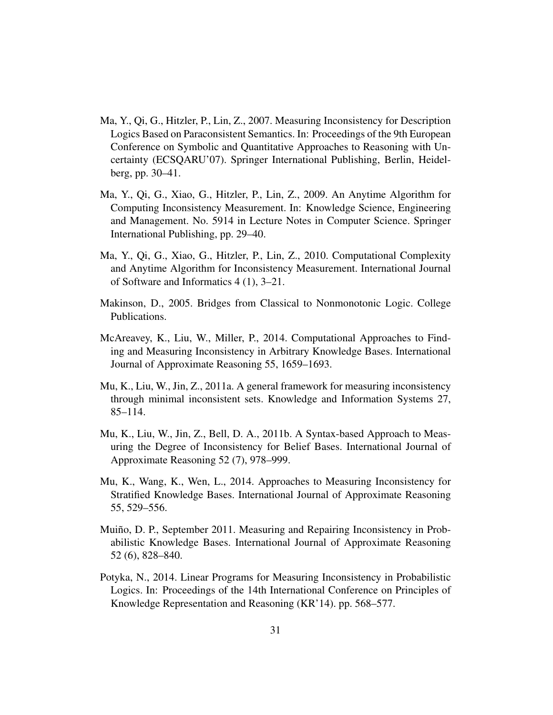- Ma, Y., Qi, G., Hitzler, P., Lin, Z., 2007. Measuring Inconsistency for Description Logics Based on Paraconsistent Semantics. In: Proceedings of the 9th European Conference on Symbolic and Quantitative Approaches to Reasoning with Uncertainty (ECSQARU'07). Springer International Publishing, Berlin, Heidelberg, pp. 30–41.
- Ma, Y., Qi, G., Xiao, G., Hitzler, P., Lin, Z., 2009. An Anytime Algorithm for Computing Inconsistency Measurement. In: Knowledge Science, Engineering and Management. No. 5914 in Lecture Notes in Computer Science. Springer International Publishing, pp. 29–40.
- Ma, Y., Qi, G., Xiao, G., Hitzler, P., Lin, Z., 2010. Computational Complexity and Anytime Algorithm for Inconsistency Measurement. International Journal of Software and Informatics 4 (1), 3–21.
- Makinson, D., 2005. Bridges from Classical to Nonmonotonic Logic. College Publications.
- McAreavey, K., Liu, W., Miller, P., 2014. Computational Approaches to Finding and Measuring Inconsistency in Arbitrary Knowledge Bases. International Journal of Approximate Reasoning 55, 1659–1693.
- Mu, K., Liu, W., Jin, Z., 2011a. A general framework for measuring inconsistency through minimal inconsistent sets. Knowledge and Information Systems 27, 85–114.
- Mu, K., Liu, W., Jin, Z., Bell, D. A., 2011b. A Syntax-based Approach to Measuring the Degree of Inconsistency for Belief Bases. International Journal of Approximate Reasoning 52 (7), 978–999.
- Mu, K., Wang, K., Wen, L., 2014. Approaches to Measuring Inconsistency for Stratified Knowledge Bases. International Journal of Approximate Reasoning 55, 529–556.
- Muiño, D. P., September 2011. Measuring and Repairing Inconsistency in Probabilistic Knowledge Bases. International Journal of Approximate Reasoning 52 (6), 828–840.
- Potyka, N., 2014. Linear Programs for Measuring Inconsistency in Probabilistic Logics. In: Proceedings of the 14th International Conference on Principles of Knowledge Representation and Reasoning (KR'14). pp. 568–577.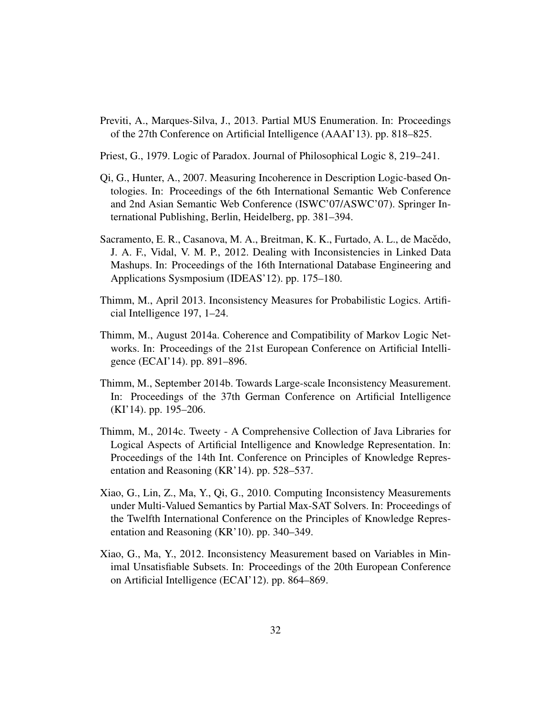- Previti, A., Marques-Silva, J., 2013. Partial MUS Enumeration. In: Proceedings of the 27th Conference on Artificial Intelligence (AAAI'13). pp. 818–825.
- Priest, G., 1979. Logic of Paradox. Journal of Philosophical Logic 8, 219–241.
- Qi, G., Hunter, A., 2007. Measuring Incoherence in Description Logic-based Ontologies. In: Proceedings of the 6th International Semantic Web Conference and 2nd Asian Semantic Web Conference (ISWC'07/ASWC'07). Springer International Publishing, Berlin, Heidelberg, pp. 381–394.
- Sacramento, E. R., Casanova, M. A., Breitman, K. K., Furtado, A. L., de Macedo, J. A. F., Vidal, V. M. P., 2012. Dealing with Inconsistencies in Linked Data Mashups. In: Proceedings of the 16th International Database Engineering and Applications Sysmposium (IDEAS'12). pp. 175–180.
- Thimm, M., April 2013. Inconsistency Measures for Probabilistic Logics. Artificial Intelligence 197, 1–24.
- Thimm, M., August 2014a. Coherence and Compatibility of Markov Logic Networks. In: Proceedings of the 21st European Conference on Artificial Intelligence (ECAI'14). pp. 891–896.
- Thimm, M., September 2014b. Towards Large-scale Inconsistency Measurement. In: Proceedings of the 37th German Conference on Artificial Intelligence (KI'14). pp. 195–206.
- Thimm, M., 2014c. Tweety A Comprehensive Collection of Java Libraries for Logical Aspects of Artificial Intelligence and Knowledge Representation. In: Proceedings of the 14th Int. Conference on Principles of Knowledge Representation and Reasoning (KR'14). pp. 528–537.
- Xiao, G., Lin, Z., Ma, Y., Qi, G., 2010. Computing Inconsistency Measurements under Multi-Valued Semantics by Partial Max-SAT Solvers. In: Proceedings of the Twelfth International Conference on the Principles of Knowledge Representation and Reasoning (KR'10). pp. 340–349.
- Xiao, G., Ma, Y., 2012. Inconsistency Measurement based on Variables in Minimal Unsatisfiable Subsets. In: Proceedings of the 20th European Conference on Artificial Intelligence (ECAI'12). pp. 864–869.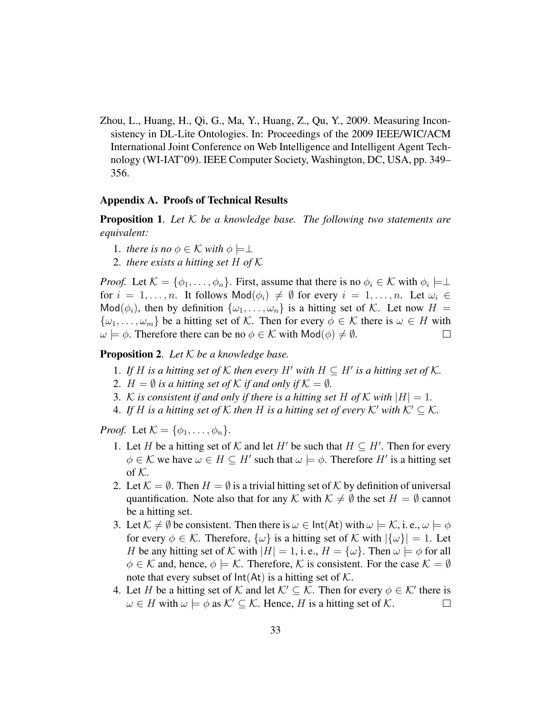Zhou, L., Huang, H., Qi, G., Ma, Y., Huang, Z., Qu, Y., 2009. Measuring Inconsistency in DL-Lite Ontologies. In: Proceedings of the 2009 IEEE/WIC/ACM International Joint Conference on Web Intelligence and Intelligent Agent Technology (WI-IAT'09). IEEE Computer Society, Washington, DC, USA, pp. 349– 356.

#### Appendix A. Proofs of Technical Results

Proposition 1. *Let* K *be a knowledge base. The following two statements are equivalent:*

- 1. *there is no*  $\phi \in \mathcal{K}$  *with*  $\phi \models \perp$
- 2. *there exists a hitting set* H *of* K

*Proof.* Let  $\mathcal{K} = \{\phi_1, \dots, \phi_n\}$ . First, assume that there is no  $\phi_i \in \mathcal{K}$  with  $\phi_i \models \perp$ for  $i = 1, \ldots, n$ . It follows  $\text{Mod}(\phi_i) \neq \emptyset$  for every  $i = 1, \ldots, n$ . Let  $\omega_i \in$ Mod( $\phi_i$ ), then by definition  $\{\omega_1, \ldots, \omega_n\}$  is a hitting set of K. Let now  $H =$  $\{\omega_1, \dots, \omega_m\}$  be a hitting set of K. Then for every  $\phi \in \mathcal{K}$  there is  $\omega \in H$  with  $\omega \models \phi$ . Therefore there can be no  $\phi \in \mathcal{K}$  with  $\text{Mod}(\phi) \neq \emptyset$ .  $\omega \models \phi$ . Therefore there can be no  $\phi \in \mathcal{K}$  with  $\mathsf{Mod}(\phi) \neq \emptyset$ .

## Proposition 2. *Let* K *be a knowledge base.*

- 1. If H is a hitting set of K then every H' with  $H \subseteq H'$  is a hitting set of K.
- 2.  $H = \emptyset$  *is a hitting set of*  $\mathcal K$  *if and only if*  $\mathcal K = \emptyset$ *.*
- 3. K is consistent if and only if there is a hitting set H of K with  $|H| = 1$ .
- 4. If H is a hitting set of K then H is a hitting set of every K' with  $K' \subseteq K$ .

*Proof.* Let  $\mathcal{K} = \{\phi_1, \ldots, \phi_n\}.$ 

- 1. Let H be a hitting set of K and let H' be such that  $H \subseteq H'$ . Then for every  $\phi \in \mathcal{K}$  we have  $\omega \in H \subseteq H'$  such that  $\omega \models \phi$ . Therefore  $H'$  is a hitting set of  $K$ .
- 2. Let  $\mathcal{K} = \emptyset$ . Then  $H = \emptyset$  is a trivial hitting set of  $\mathcal K$  by definition of universal quantification. Note also that for any K with  $\mathcal{K} \neq \emptyset$  the set  $H = \emptyset$  cannot be a hitting set.
- 3. Let  $\mathcal{K} \neq \emptyset$  be consistent. Then there is  $\omega \in \text{Int}(At)$  with  $\omega \models \mathcal{K}$ , i.e.,  $\omega \models \phi$ for every  $\phi \in \mathcal{K}$ . Therefore,  $\{\omega\}$  is a hitting set of K with  $|\{\omega\}| = 1$ . Let H be any hitting set of K with  $|H| = 1$ , i. e.,  $H = {\omega}$ . Then  $\omega \models \phi$  for all  $\phi \in \mathcal{K}$  and, hence,  $\phi \models \mathcal{K}$ . Therefore,  $\mathcal{K}$  is consistent. For the case  $\mathcal{K} = \emptyset$ note that every subset of  $Int(At)$  is a hitting set of K.
- 4. Let H be a hitting set of K and let  $K' \subseteq K$ . Then for every  $\phi \in K'$  there is  $\omega \in H$  with  $\omega \models \phi$  as  $\mathcal{K}' \subseteq \mathcal{K}$ . Hence, H is a hitting set of  $\mathcal{K}$ .  $\Box$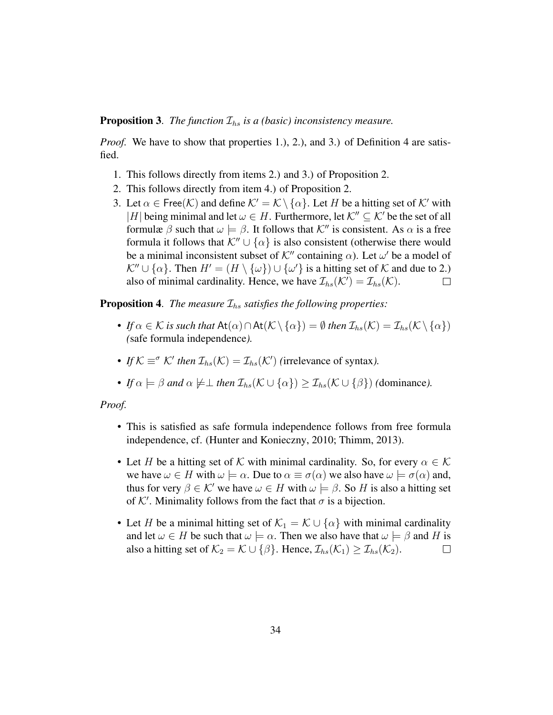**Proposition 3.** *The function*  $\mathcal{I}_{hs}$  *is a (basic) inconsistency measure.* 

*Proof.* We have to show that properties 1.), 2.), and 3.) of Definition 4 are satisfied.

- 1. This follows directly from items 2.) and 3.) of Proposition 2.
- 2. This follows directly from item 4.) of Proposition 2.
- 3. Let  $\alpha \in \text{Free}(\mathcal{K})$  and define  $\mathcal{K}' = \mathcal{K} \setminus \{\alpha\}$ . Let H be a hitting set of  $\mathcal{K}'$  with |H| being minimal and let  $\omega \in H$ . Furthermore, let  $\mathcal{K}^{\prime\prime} \subset \mathcal{K}$  be the set of all formulæ  $\beta$  such that  $\omega \models \beta$ . It follows that  $\mathcal{K}''$  is consistent. As  $\alpha$  is a free formula it follows that  $\mathcal{K}'' \cup {\alpha}$  is also consistent (otherwise there would be a minimal inconsistent subset of  $K''$  containing  $\alpha$ ). Let  $\omega'$  be a model of  $\mathcal{K}'' \cup \{\alpha\}$ . Then  $H' = (H \setminus \{\omega\}) \cup \{\omega'\}$  is a hitting set of  $\mathcal K$  and due to 2.) also of minimal cardinality. Hence, we have  $\mathcal{I}_{hs}(\mathcal{K}') = \mathcal{I}_{hs}(\mathcal{K})$ .

**Proposition 4.** *The measure*  $\mathcal{I}_{hs}$  *satisfies the following properties:* 

- *If*  $\alpha \in \mathcal{K}$  *is such that* At $(\alpha) \cap At(\mathcal{K} \setminus {\{\alpha\}}) = \emptyset$  *then*  $\mathcal{I}_{hs}(\mathcal{K}) = \mathcal{I}_{hs}(\mathcal{K} \setminus {\{\alpha\}})$ *(*safe formula independence*).*
- *If*  $K \equiv \sigma$   $K'$  *then*  $\mathcal{I}_{hs}(K) = \mathcal{I}_{hs}(K')$  (irrelevance of syntax).
- *If*  $\alpha \models \beta$  *and*  $\alpha \not\models \bot$  *then*  $\mathcal{I}_{hs}(\mathcal{K} \cup {\alpha}) > \mathcal{I}_{hs}(\mathcal{K} \cup {\beta})$  *(dominance).*

#### *Proof.*

- This is satisfied as safe formula independence follows from free formula independence, cf. (Hunter and Konieczny, 2010; Thimm, 2013).
- Let H be a hitting set of K with minimal cardinality. So, for every  $\alpha \in \mathcal{K}$ we have  $\omega \in H$  with  $\omega \models \alpha$ . Due to  $\alpha \equiv \sigma(\alpha)$  we also have  $\omega \models \sigma(\alpha)$  and, thus for very  $\beta \in \mathcal{K}'$  we have  $\omega \in H$  with  $\omega \models \beta$ . So H is also a hitting set of  $K'$ . Minimality follows from the fact that  $\sigma$  is a bijection.
- Let H be a minimal hitting set of  $\mathcal{K}_1 = \mathcal{K} \cup \{\alpha\}$  with minimal cardinality and let  $\omega \in H$  be such that  $\omega \models \alpha$ . Then we also have that  $\omega \models \beta$  and H is also a hitting set of  $\mathcal{K}_2 = \mathcal{K} \cup {\{\beta\}}$ . Hence,  $\mathcal{I}_{hs}(\mathcal{K}_1) > \mathcal{I}_{hs}(\mathcal{K}_2)$ . also a hitting set of  $\mathcal{K}_2 = \mathcal{K} \cup \{\beta\}$ . Hence,  $\mathcal{I}_{hs}(\mathcal{K}_1) \geq \mathcal{I}_{hs}(\mathcal{K}_2)$ .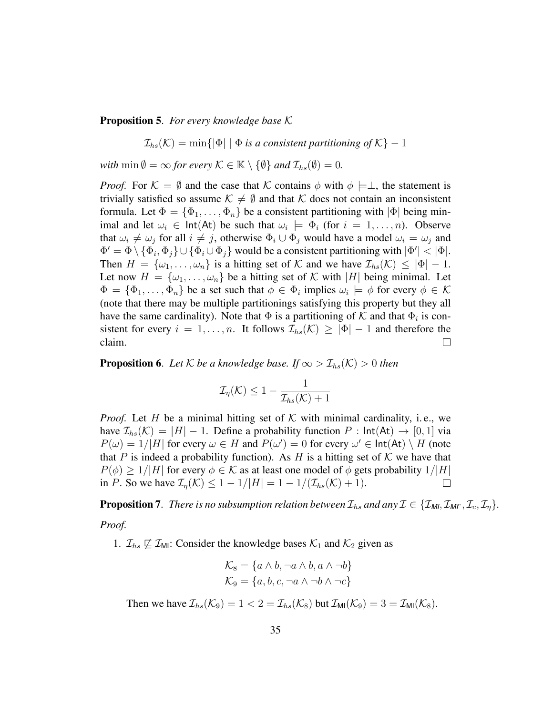Proposition 5. *For every knowledge base* K

 $\mathcal{I}_{hs}(\mathcal{K}) = \min\{|\Phi| \mid \Phi \text{ is a consistent partitioning of } \mathcal{K}\}-1$ 

*with*  $\min \emptyset = \infty$  *for every*  $K \in \mathbb{K} \setminus \{\emptyset\}$  *and*  $\mathcal{I}_{hs}(\emptyset) = 0$ *.* 

*Proof.* For  $\mathcal{K} = \emptyset$  and the case that K contains  $\phi$  with  $\phi \models \bot$ , the statement is trivially satisfied so assume  $\mathcal{K} \neq \emptyset$  and that K does not contain an inconsistent formula. Let  $\Phi = {\Phi_1, \ldots, \Phi_n}$  be a consistent partitioning with  $|\Phi|$  being minimal and let  $\omega_i \in \text{Int}(At)$  be such that  $\omega_i \models \Phi_i$  (for  $i = 1, ..., n$ ). Observe that  $\omega_i \neq \omega_j$  for all  $i \neq j$ , otherwise  $\Phi_i \cup \Phi_j$  would have a model  $\omega_i = \omega_j$  and  $\Phi' = \Phi \setminus {\Phi_i, \Phi_j} \cup {\Phi_i \cup \Phi_j}$  would be a consistent partitioning with  $|\Phi'| < |\Phi|$ . Then  $H = {\omega_1, \ldots, \omega_n}$  is a hitting set of K and we have  $\mathcal{I}_{hs}(\mathcal{K}) \leq |\Phi| - 1$ . Let now  $H = {\omega_1, \ldots, \omega_n}$  be a hitting set of K with |H| being minimal. Let  $\Phi = \{\Phi_1, \dots, \Phi_n\}$  be a set such that  $\phi \in \Phi_i$  implies  $\omega_i \models \phi$  for every  $\phi \in \mathcal{K}$ (note that there may be multiple partitionings satisfying this property but they all have the same cardinality). Note that  $\Phi$  is a partitioning of  $\mathcal K$  and that  $\Phi_i$  is consistent for every  $i = 1, ..., n$ . It follows  $\mathcal{I}_{hs}(\mathcal{K}) \geq |\Phi| - 1$  and therefore the claim. claim.

**Proposition 6.** Let  $K$  be a knowledge base. If  $\infty > \mathcal{I}_{hs}(K) > 0$  then

$$
\mathcal{I}_{\eta}(\mathcal{K}) \leq 1 - \frac{1}{\mathcal{I}_{hs}(\mathcal{K}) + 1}
$$

*Proof.* Let H be a minimal hitting set of K with minimal cardinality, i.e., we have  $\mathcal{I}_{hs}(\mathcal{K}) = |H| - 1$ . Define a probability function  $P : \mathsf{Int}(At) \to [0,1]$  via  $P(\omega) = 1/|H|$  for every  $\omega \in H$  and  $P(\omega') = 0$  for every  $\omega' \in \text{Int}(At) \setminus H$  (note that P is indeed a probability function). As H is a hitting set of K we have that  $P(\phi) \ge 1/|H|$  for every  $\phi \in \mathcal{K}$  as at least one model of  $\phi$  gets probability  $1/|H|$ <br>in P. So we have  $\mathcal{I}_n(\mathcal{K}) \le 1 - 1/|H| = 1 - 1/(\mathcal{I}_{b_0}(\mathcal{K}) + 1)$ . in P. So we have  $\mathcal{I}_n(\mathcal{K}) \leq 1 - 1/|H| = 1 - 1/(\mathcal{I}_{hs}(\mathcal{K}) + 1)$ .

**Proposition 7.** *There is no subsumption relation between*  $\mathcal{I}_{hs}$  *and any*  $\mathcal{I} \in \{\mathcal{I}_{Ml}, \mathcal{I}_{Ml}, \mathcal{I}_{c}, \mathcal{I}_{\eta}\}.$ 

*Proof.*

1.  $\mathcal{I}_{hs} \not\sqsubseteq \mathcal{I}_{\text{MI}}$ : Consider the knowledge bases  $\mathcal{K}_1$  and  $\mathcal{K}_2$  given as

$$
\mathcal{K}_8 = \{a \land b, \neg a \land b, a \land \neg b\}
$$

$$
\mathcal{K}_9 = \{a, b, c, \neg a \land \neg b \land \neg c\}
$$

Then we have  $\mathcal{I}_{hs}(\mathcal{K}_9) = 1 < 2 = \mathcal{I}_{hs}(\mathcal{K}_8)$  but  $\mathcal{I}_{\text{MI}}(\mathcal{K}_9) = 3 = \mathcal{I}_{\text{MI}}(\mathcal{K}_8)$ .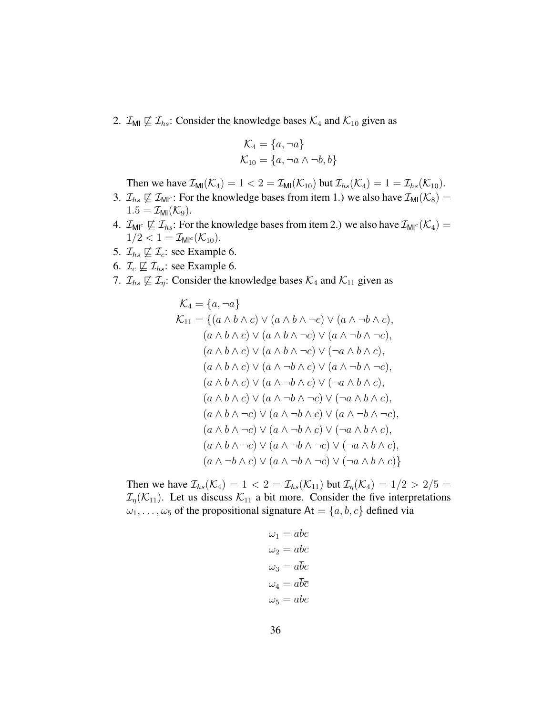2.  $\mathcal{I}_{\text{MI}} \not\sqsubseteq \mathcal{I}_{\text{hs}}$ : Consider the knowledge bases  $\mathcal{K}_4$  and  $\mathcal{K}_{10}$  given as

$$
\mathcal{K}_4 = \{a, \neg a\}
$$
  

$$
\mathcal{K}_{10} = \{a, \neg a \land \neg b, b\}
$$

Then we have  $\mathcal{I}_{\text{MI}}(\mathcal{K}_4) = 1 < 2 = \mathcal{I}_{\text{MI}}(\mathcal{K}_{10})$  but  $\mathcal{I}_{hs}(\mathcal{K}_4) = 1 = \mathcal{I}_{hs}(\mathcal{K}_{10})$ .

- 3.  $\mathcal{I}_{hs} \not\sqsubseteq \mathcal{I}_{MI}$ : For the knowledge bases from item 1.) we also have  $\mathcal{I}_{MI}(\mathcal{K}_8)$  =  $1.5 = \mathcal{I}_{\text{MI}}(\mathcal{K}_9).$
- 4.  $\mathcal{I}_{\mathsf{M}^{\mathsf{IC}}} \not\sqsubseteq \mathcal{I}_{\mathsf{h}}$ : For the knowledge bases from item 2.) we also have  $\mathcal{I}_{\mathsf{M}^{\mathsf{IC}}}(\mathcal{K}_4)$  =  $1/2 < 1 = \mathcal{I}_{\text{MI}^c}(\mathcal{K}_{10}).$
- 5.  $\mathcal{I}_{hs} \not\sqsubseteq \mathcal{I}_c$ : see Example 6.
- 6.  $\mathcal{I}_c \not\sqsubseteq \mathcal{I}_{hs}$ : see Example 6.
- 7.  $\mathcal{I}_{hs} \not\sqsubseteq \mathcal{I}_{\eta}$ : Consider the knowledge bases  $\mathcal{K}_4$  and  $\mathcal{K}_{11}$  given as

$$
\mathcal{K}_4 = \{a, \neg a\}
$$
\n
$$
\mathcal{K}_{11} = \{(a \land b \land c) \lor (a \land b \land \neg c) \lor (a \land \neg b \land c),
$$
\n
$$
(a \land b \land c) \lor (a \land b \land \neg c) \lor (a \land \neg b \land \neg c),
$$
\n
$$
(a \land b \land c) \lor (a \land b \land \neg c) \lor (\neg a \land b \land c),
$$
\n
$$
(a \land b \land c) \lor (a \land \neg b \land c) \lor (a \land \neg b \land c),
$$
\n
$$
(a \land b \land c) \lor (a \land \neg b \land c) \lor (a \land \neg b \land \neg c),
$$
\n
$$
(a \land b \land c) \lor (a \land \neg b \land c) \lor (\neg a \land b \land c),
$$
\n
$$
(a \land b \land c) \lor (a \land \neg b \land \neg c) \lor (\neg a \land b \land c),
$$
\n
$$
(a \land b \land \neg c) \lor (a \land \neg b \land c) \lor (a \land \neg b \land \neg c),
$$
\n
$$
(a \land b \land \neg c) \lor (a \land \neg b \land c) \lor (\neg a \land b \land c),
$$
\n
$$
(a \land b \land \neg c) \lor (a \land \neg b \land \neg c) \lor (\neg a \land b \land c),
$$
\n
$$
(a \land \neg b \land c) \lor (a \land \neg b \land \neg c) \lor (\neg a \land b \land c),
$$
\n
$$
(a \land \neg b \land c) \lor (a \land \neg b \land \neg c) \lor (\neg a \land b \land c)
$$

Then we have  $\mathcal{I}_{hs}(\mathcal{K}_4) = 1 < 2 = \mathcal{I}_{hs}(\mathcal{K}_{11})$  but  $\mathcal{I}_{\eta}(\mathcal{K}_4) = 1/2 > 2/5 = 1/2$  $\mathcal{I}_n(\mathcal{K}_{11})$ . Let us discuss  $\mathcal{K}_{11}$  a bit more. Consider the five interpretations  $\omega_1, \ldots, \omega_5$  of the propositional signature At  $= \{a, b, c\}$  defined via

$$
\omega_1 = abc
$$
  
\n
$$
\omega_2 = ab\overline{c}
$$
  
\n
$$
\omega_3 = a\overline{b}c
$$
  
\n
$$
\omega_4 = a\overline{b}\overline{c}
$$
  
\n
$$
\omega_5 = \overline{a}bc
$$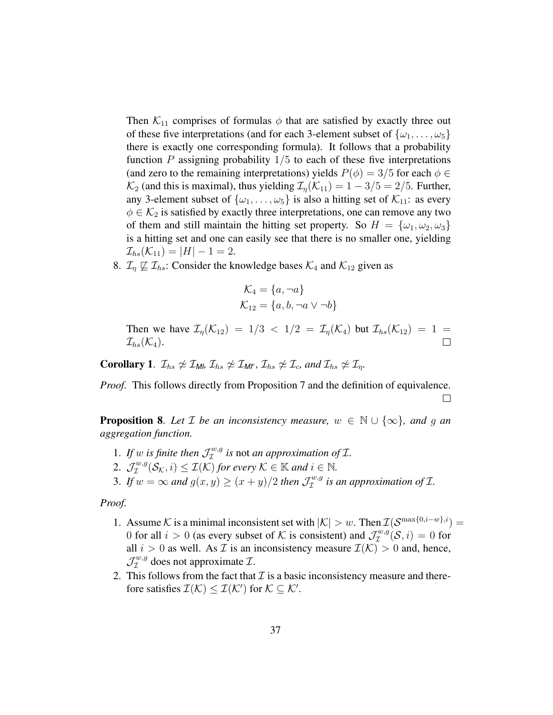Then  $K_{11}$  comprises of formulas  $\phi$  that are satisfied by exactly three out of these five interpretations (and for each 3-element subset of  $\{\omega_1, \ldots, \omega_5\}$ there is exactly one corresponding formula). It follows that a probability function  $P$  assigning probability  $1/5$  to each of these five interpretations (and zero to the remaining interpretations) yields  $P(\phi) = 3/5$  for each  $\phi \in$  $\mathcal{K}_2$  (and this is maximal), thus yielding  $\mathcal{I}_n(\mathcal{K}_{11}) = 1 - 3/5 = 2/5$ . Further, any 3-element subset of  $\{\omega_1, \ldots, \omega_5\}$  is also a hitting set of  $\mathcal{K}_{11}$ : as every  $\phi \in \mathcal{K}_2$  is satisfied by exactly three interpretations, one can remove any two of them and still maintain the hitting set property. So  $H = {\omega_1, \omega_2, \omega_3}$ is a hitting set and one can easily see that there is no smaller one, yielding  $\mathcal{I}_{hs}(\mathcal{K}_{11}) = |H| - 1 = 2.$ 

8.  $\mathcal{I}_\eta \not\sqsubseteq \mathcal{I}_{hs}$ : Consider the knowledge bases  $\mathcal{K}_4$  and  $\mathcal{K}_{12}$  given as

$$
\mathcal{K}_4 = \{a, \neg a\}
$$

$$
\mathcal{K}_{12} = \{a, b, \neg a \lor \neg b\}
$$

Then we have  $\mathcal{I}_{\eta}(\mathcal{K}_{12}) = 1/3 < 1/2 = \mathcal{I}_{\eta}(\mathcal{K}_{4})$  but  $\mathcal{I}_{hs}(\mathcal{K}_{12}) = 1 =$ <br> $\mathcal{I}_{hs}(\mathcal{K}_{4})$ .  $\mathcal{I}_{hs}(\mathcal{K}_4)$ .

**Corollary 1.**  $\mathcal{I}_{hs} \not\cong \mathcal{I}_{Mb} \mathcal{I}_{hs} \not\cong \mathcal{I}_{MF}$ ,  $\mathcal{I}_{hs} \not\cong \mathcal{I}_{c}$ , and  $\mathcal{I}_{hs} \not\cong \mathcal{I}_{n}$ .

*Proof.* This follows directly from Proposition 7 and the definition of equivalence.  $\Box$ 

**Proposition 8.** Let  $\mathcal{I}$  be an inconsistency measure,  $w \in \mathbb{N} \cup \{\infty\}$ , and g an *aggregation function.*

- 1. If w is finite then  $\mathcal{J}_\mathcal{I}^{w,g}$  is not *an approximation of*  $\mathcal{I}$ *.*
- 2.  $\mathcal{J}_\mathcal{I}^{w,g}(\mathcal{S}_\mathcal{K},i) \leq \mathcal{I}(\mathcal{K})$  *for every*  $\mathcal{K} \in \mathbb{K}$  and  $i \in \mathbb{N}$ .
- 3. If  $w = \infty$  and  $g(x, y) \ge (x + y)/2$  then  $\mathcal{J}_\mathcal{I}^{w,g}$  $I^{w,g}_{\mathcal{I}}$  is an approximation of  $\mathcal{I}$ .

*Proof.*

- 1. Assume K is a minimal inconsistent set with  $|\mathcal{K}| > w$ . Then  $\mathcal{I}(\mathcal{S}^{\max\{0,i-w\},i}) =$ 0 for all  $i > 0$  (as every subset of K is consistent) and  $\mathcal{J}_{\mathcal{I}}^{w,g}$  $\mathcal{I}^{w,g}(\mathcal{S}, i) = 0$  for all  $i > 0$  as well. As  $\mathcal I$  is an inconsistency measure  $\mathcal I(\mathcal K) > 0$  and, hence,  $\mathcal{J} _{\mathcal{I}} ^{w,g}$  $\mathcal{I}^{w,g}$  does not approximate  $\mathcal{I}$ .
- 2. This follows from the fact that  $\mathcal I$  is a basic inconsistency measure and therefore satisfies  $\mathcal{I}(\mathcal{K}) \leq \mathcal{I}(\mathcal{K}')$  for  $\mathcal{K} \subseteq \mathcal{K}'$ .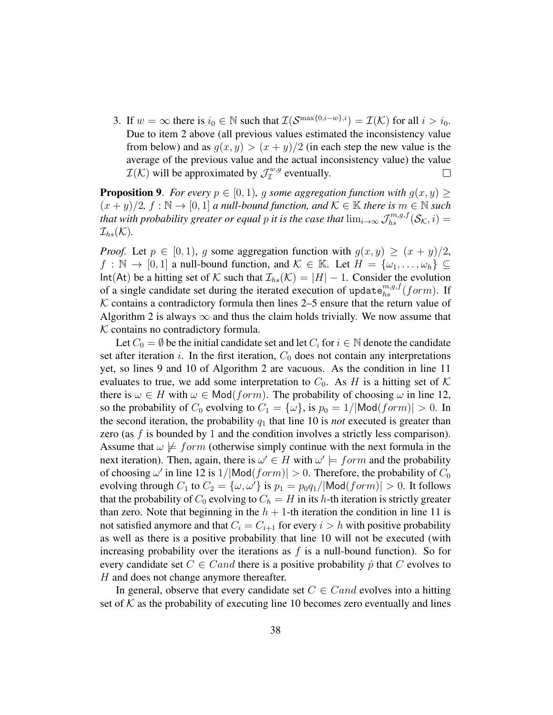3. If  $w = \infty$  there is  $i_0 \in \mathbb{N}$  such that  $\mathcal{I}(\mathcal{S}^{\max\{0, i-w\}, i}) = \mathcal{I}(\mathcal{K})$  for all  $i > i_0$ . Due to item 2 above (all previous values estimated the inconsistency value from below) and as  $g(x, y) > (x + y)/2$  (in each step the new value is the average of the previous value and the actual inconsistency value) the value  $\mathcal{I}(\mathcal{K})$  will be approximated by  $\mathcal{J}_{\mathcal{I}}^{w,g}$  $\tau^{w,g}$  eventually.  $\Box$ 

**Proposition 9.** *For every*  $p \in [0, 1)$ *, g some aggregation function with*  $g(x, y) \ge$  $(x + y)/2$ ,  $f : \mathbb{N} \to [0, 1]$  *a null-bound function, and*  $\mathcal{K} \in \mathbb{K}$  *there is*  $m \in \mathbb{N}$  *such that with probability greater or equal p it is the case that*  $\lim_{i\to\infty}\mathcal{J}_{hs}^{m,g,f}(\mathcal{S}_{\mathcal{K}},i)=$  $\mathcal{I}_{hs}(\mathcal{K}).$ 

*Proof.* Let  $p \in [0, 1)$ , g some aggregation function with  $g(x, y) \ge (x + y)/2$ ,  $f : \mathbb{N} \to [0, 1]$  a null-bound function, and  $\mathcal{K} \in \mathbb{K}$ . Let  $H = {\omega_1, \dots, \omega_h} \subseteq$ Int(At) be a hitting set of K such that  $\mathcal{I}_{hs}(\mathcal{K}) = |H| - 1$ . Consider the evolution of a single candidate set during the iterated execution of update ${}^{m,g,f}_{hs}(form)$ . If  $K$  contains a contradictory formula then lines 2–5 ensure that the return value of Algorithm 2 is always  $\infty$  and thus the claim holds trivially. We now assume that  $K$  contains no contradictory formula.

Let  $C_0 = \emptyset$  be the initial candidate set and let  $C_i$  for  $i \in \mathbb{N}$  denote the candidate set after iteration i. In the first iteration,  $C_0$  does not contain any interpretations yet, so lines 9 and 10 of Algorithm 2 are vacuous. As the condition in line 11 evaluates to true, we add some interpretation to  $C_0$ . As H is a hitting set of K there is  $\omega \in H$  with  $\omega \in \text{Mod}(form)$ . The probability of choosing  $\omega$  in line 12, so the probability of  $C_0$  evolving to  $C_1 = {\omega}$ , is  $p_0 = 1/|Mod(f \circ m)| > 0$ . In the second iteration, the probability  $q_1$  that line 10 is *not* executed is greater than zero (as  $f$  is bounded by 1 and the condition involves a strictly less comparison). Assume that  $\omega \not\models form$  (otherwise simply continue with the next formula in the next iteration). Then, again, there is  $\omega' \in H$  with  $\omega' \models form$  and the probability of choosing  $\omega'$  in line 12 is  $1/|\text{Mod}(form)| > 0$ . Therefore, the probability of  $C_0$ evolving through  $C_1$  to  $C_2 = {\omega, \omega'}$  is  $p_1 = p_0 q_1 / |\text{Mod}(form)| > 0$ . It follows that the probability of  $C_0$  evolving to  $C_h = H$  in its h-th iteration is strictly greater than zero. Note that beginning in the  $h + 1$ -th iteration the condition in line 11 is not satisfied anymore and that  $C_i = C_{i+1}$  for every  $i > h$  with positive probability as well as there is a positive probability that line 10 will not be executed (with increasing probability over the iterations as  $f$  is a null-bound function). So for every candidate set  $C \in Cand$  there is a positive probability  $\hat{p}$  that C evolves to H and does not change anymore thereafter.

In general, observe that every candidate set  $C \in Cand$  evolves into a hitting set of  $K$  as the probability of executing line 10 becomes zero eventually and lines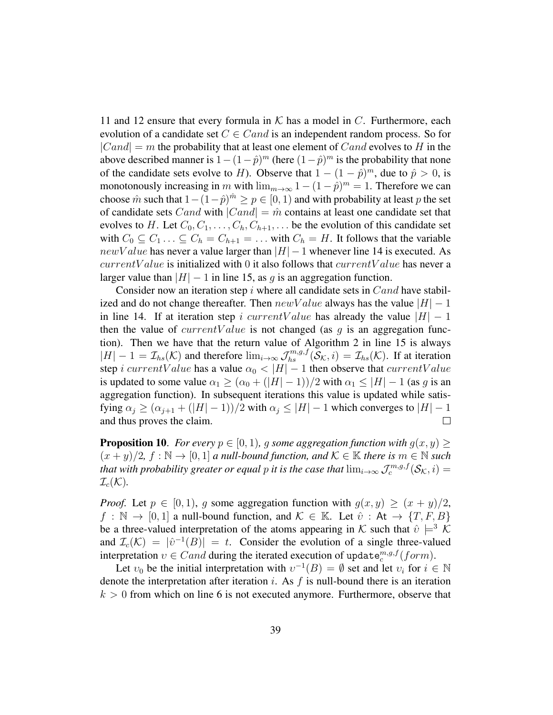11 and 12 ensure that every formula in  $K$  has a model in C. Furthermore, each evolution of a candidate set  $C \in Cand$  is an independent random process. So for  $|Cand| = m$  the probability that at least one element of  $Cand$  evolves to H in the above described manner is  $1 - (1 - \hat{p})^m$  (here  $(1 - \hat{p})^m$  is the probability that none of the candidate sets evolve to H). Observe that  $1 - (1 - \hat{p})^m$ , due to  $\hat{p} > 0$ , is monotonously increasing in m with  $\lim_{m\to\infty} 1-(1-\hat{p})^m=1$ . Therefore we can choose  $\hat{m}$  such that  $1 - (1 - \hat{p})^{\hat{m}} \ge p \in [0, 1)$  and with probability at least p the set of candidate sets Cand with  $|Cand| = \hat{m}$  contains at least one candidate set that evolves to H. Let  $C_0, C_1, \ldots, C_h, C_{h+1}, \ldots$  be the evolution of this candidate set with  $C_0 \subseteq C_1 \ldots \subseteq C_h = C_{h+1} = \ldots$  with  $C_h = H$ . It follows that the variable  $newValue$  has never a value larger than  $|H| - 1$  whenever line 14 is executed. As  $currentValue$  is initialized with 0 it also follows that  $currentValue$  has never a larger value than  $|H| - 1$  in line 15, as g is an aggregation function.

Consider now an iteration step  $i$  where all candidate sets in  $Cand$  have stabilized and do not change thereafter. Then  $newValue$  always has the value  $|H| - 1$ in line 14. If at iteration step i currentValue has already the value  $|H| - 1$ then the value of  $currentValue$  is not changed (as q is an aggregation function). Then we have that the return value of Algorithm 2 in line 15 is always  $|H| - 1 = \mathcal{I}_{hs}(\mathcal{K})$  and therefore  $\lim_{i \to \infty} \mathcal{J}_{hs}^{m,g,f}(\mathcal{S}_{\mathcal{K}}, i) = \mathcal{I}_{hs}(\mathcal{K})$ . If at iteration step i currentValue has a value  $\alpha_0 < |H| - 1$  then observe that currentValue is updated to some value  $\alpha_1 \geq (\alpha_0 + (|H| - 1))/2$  with  $\alpha_1 \leq |H| - 1$  (as g is an aggregation function). In subsequent iterations this value is updated while satisfying  $\alpha_j \geq (\alpha_{j+1} + (|H| - 1))/2$  with  $\alpha_j \leq |H| - 1$  which converges to  $|H| - 1$  and thus proves the claim. and thus proves the claim.

**Proposition 10.** *For every*  $p \in [0, 1)$ *, g some aggregation function with*  $g(x, y) \ge$  $(x + y)/2$ ,  $f : \mathbb{N} \to [0, 1]$  *a null-bound function, and*  $\mathcal{K} \in \mathbb{K}$  *there is*  $m \in \mathbb{N}$  *such that with probability greater or equal p it is the case that*  $\lim_{i\to\infty} \mathcal{J}_c^{m,g,f}(\mathcal{S}_{\mathcal{K}},i)=$  $\mathcal{I}_c(\mathcal{K})$ .

*Proof.* Let  $p \in [0, 1)$ , q some aggregation function with  $q(x, y) \geq (x + y)/2$ ,  $f : \mathbb{N} \to [0, 1]$  a null-bound function, and  $\mathcal{K} \in \mathbb{K}$ . Let  $\hat{v} : \mathsf{At} \to \{T, F, B\}$ be a three-valued interpretation of the atoms appearing in K such that  $\hat{v} \models^3 \mathcal{K}$ and  $\mathcal{I}_c(\mathcal{K}) = |\hat{v}^{-1}(B)| = t$ . Consider the evolution of a single three-valued interpretation  $v \in C$  and during the iterated execution of update  $e_c^{m,g,f}(form)$ .

Let  $v_0$  be the initial interpretation with  $v^{-1}(B) = \emptyset$  set and let  $v_i$  for  $i \in \mathbb{N}$ denote the interpretation after iteration  $i$ . As  $f$  is null-bound there is an iteration  $k > 0$  from which on line 6 is not executed anymore. Furthermore, observe that